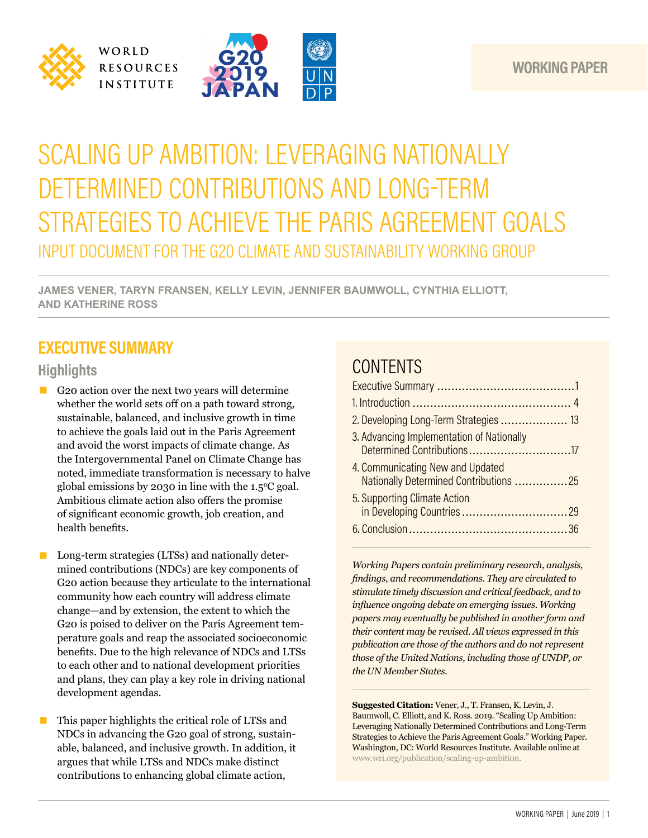



# SCALING UP AMBITION: LEVERAGING NATIONALLY DETERMINED CONTRIBUTIONS AND LONG-TERM STRATEGIES TO ACHIEVE THE PARIS AGREEMENT GOALS INPUT DOCUMENT FOR THE G20 CLIMATE AND SUSTAINABILITY WORKING GROUP

**JAMES VENER, TARYN FRANSEN, KELLY LEVIN, JENNIFER BAUMWOLL, CYNTHIA ELLIOTT, AND KATHERINE ROSS** 

# **EXECUTIVE SUMMARY**

### **Highlights**

- G20 action over the next two years will determine whether the world sets off on a path toward strong, sustainable, balanced, and inclusive growth in time to achieve the goals laid out in the Paris Agreement and avoid the worst impacts of climate change. As the Intergovernmental Panel on Climate Change has noted, immediate transformation is necessary to halve global emissions by 2030 in line with the  $1.5^{\circ}$ C goal. Ambitious climate action also offers the promise of significant economic growth, job creation, and health benefits.
- Long-term strategies (LTSs) and nationally determined contributions (NDCs) are key components of G20 action because they articulate to the international community how each country will address climate change—and by extension, the extent to which the G20 is poised to deliver on the Paris Agreement temperature goals and reap the associated socioeconomic benefits. Due to the high relevance of NDCs and LTSs to each other and to national development priorities and plans, they can play a key role in driving national development agendas.
- This paper highlights the critical role of LTSs and NDCs in advancing the G20 goal of strong, sustainable, balanced, and inclusive growth. In addition, it argues that while LTSs and NDCs make distinct contributions to enhancing global climate action,

# **CONTENTS**

| 2. Developing Long-Term Strategies  13                                     |
|----------------------------------------------------------------------------|
| 3. Advancing Implementation of Nationally<br>Determined Contributions17    |
| 4. Communicating New and Updated<br>Nationally Determined Contributions 25 |
| 5. Supporting Climate Action                                               |
|                                                                            |

*Working Papers contain preliminary research, analysis, findings, and recommendations. They are circulated to stimulate timely discussion and critical feedback, and to influence ongoing debate on emerging issues. Working papers may eventually be published in another form and their content may be revised. All views expressed in this publication are those of the authors and do not represent those of the United Nations, including those of UNDP, or the UN Member States.*

**Suggested Citation:** Vener, J., T. Fransen, K. Levin, J. Baumwoll, C. Elliott, and K. Ross. 2019. "Scaling Up Ambition: Leveraging Nationally Determined Contributions and Long-Term Strategies to Achieve the Paris Agreement Goals." Working Paper. Washington, DC: World Resources Institute. Available online at www.wri.org/publication/scaling-up-ambition.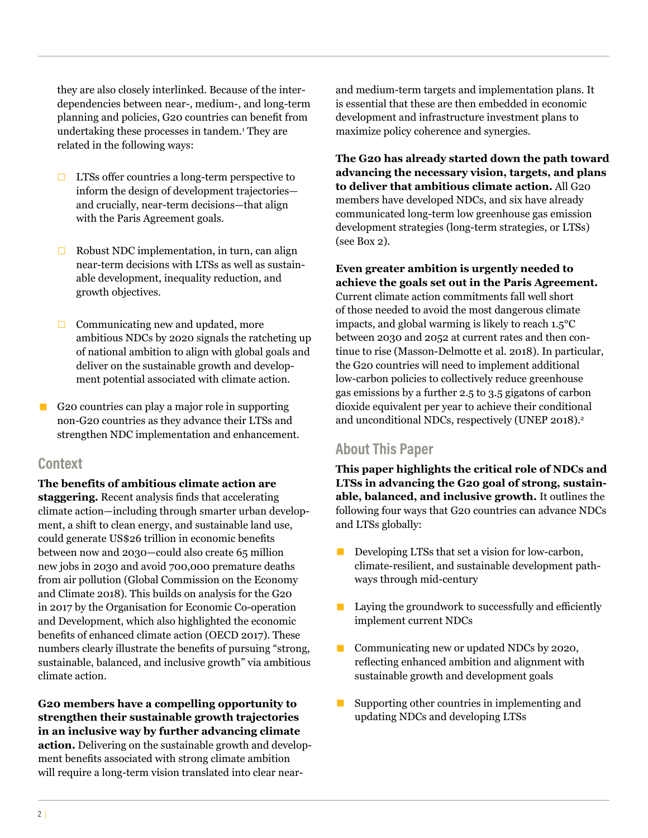they are also closely interlinked. Because of the interdependencies between near-, medium-, and long-term planning and policies, G20 countries can benefit from undertaking these processes in tandem.1 They are related in the following ways:

- $\Box$  LTSs offer countries a long-term perspective to inform the design of development trajectories and crucially, near-term decisions—that align with the Paris Agreement goals.
- $\Box$  Robust NDC implementation, in turn, can align near-term decisions with LTSs as well as sustainable development, inequality reduction, and growth objectives.
- $\Box$  Communicating new and updated, more ambitious NDCs by 2020 signals the ratcheting up of national ambition to align with global goals and deliver on the sustainable growth and development potential associated with climate action.
- G20 countries can play a major role in supporting non-G20 countries as they advance their LTSs and strengthen NDC implementation and enhancement.

#### **Context**

**The benefits of ambitious climate action are staggering.** Recent analysis finds that accelerating climate action—including through smarter urban development, a shift to clean energy, and sustainable land use, could generate US\$26 trillion in economic benefits between now and 2030—could also create 65 million new jobs in 2030 and avoid 700,000 premature deaths from air pollution (Global Commission on the Economy and Climate 2018). This builds on analysis for the G20 in 2017 by the Organisation for Economic Co-operation and Development, which also highlighted the economic benefits of enhanced climate action (OECD 2017). These numbers clearly illustrate the benefits of pursuing "strong, sustainable, balanced, and inclusive growth" via ambitious climate action.

**G20 members have a compelling opportunity to strengthen their sustainable growth trajectories in an inclusive way by further advancing climate action.** Delivering on the sustainable growth and development benefits associated with strong climate ambition will require a long-term vision translated into clear near-

and medium-term targets and implementation plans. It is essential that these are then embedded in economic development and infrastructure investment plans to maximize policy coherence and synergies.

**The G20 has already started down the path toward advancing the necessary vision, targets, and plans to deliver that ambitious climate action.** All G20 members have developed NDCs, and six have already communicated long-term low greenhouse gas emission development strategies (long-term strategies, or LTSs) (see Box 2).

**Even greater ambition is urgently needed to achieve the goals set out in the Paris Agreement.** Current climate action commitments fall well short of those needed to avoid the most dangerous climate impacts, and global warming is likely to reach 1.5°C between 2030 and 2052 at current rates and then continue to rise (Masson-Delmotte et al. 2018). In particular, the G20 countries will need to implement additional low-carbon policies to collectively reduce greenhouse gas emissions by a further 2.5 to 3.5 gigatons of carbon dioxide equivalent per year to achieve their conditional and unconditional NDCs, respectively (UNEP 2018).<sup>2</sup>

#### **About This Paper**

**This paper highlights the critical role of NDCs and LTSs in advancing the G20 goal of strong, sustainable, balanced, and inclusive growth.** It outlines the following four ways that G20 countries can advance NDCs and LTSs globally:

- **Developing LTSs that set a vision for low-carbon,** climate-resilient, and sustainable development pathways through mid-century
- $\blacksquare$  Laying the groundwork to successfully and efficiently implement current NDCs
- Communicating new or updated NDCs by 2020, reflecting enhanced ambition and alignment with sustainable growth and development goals
- $\blacksquare$  Supporting other countries in implementing and updating NDCs and developing LTSs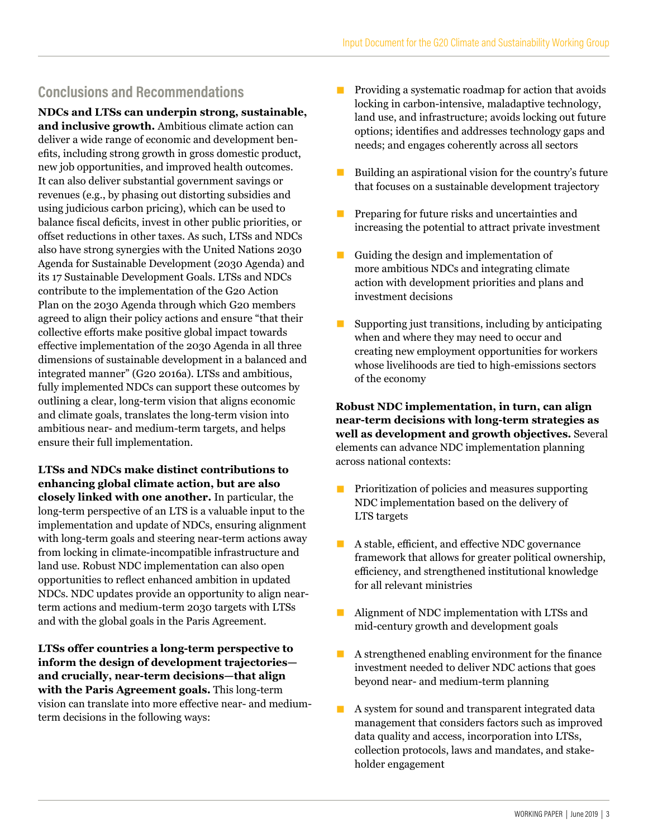#### **Conclusions and Recommendations**

**NDCs and LTSs can underpin strong, sustainable, and inclusive growth.** Ambitious climate action can deliver a wide range of economic and development benefits, including strong growth in gross domestic product, new job opportunities, and improved health outcomes. It can also deliver substantial government savings or revenues (e.g., by phasing out distorting subsidies and using judicious carbon pricing), which can be used to balance fiscal deficits, invest in other public priorities, or offset reductions in other taxes. As such, LTSs and NDCs also have strong synergies with the United Nations 2030 Agenda for Sustainable Development (2030 Agenda) and its 17 Sustainable Development Goals. LTSs and NDCs contribute to the implementation of the G20 Action Plan on the 2030 Agenda through which G20 members agreed to align their policy actions and ensure "that their collective efforts make positive global impact towards effective implementation of the 2030 Agenda in all three dimensions of sustainable development in a balanced and integrated manner" (G20 2016a). LTSs and ambitious, fully implemented NDCs can support these outcomes by outlining a clear, long-term vision that aligns economic and climate goals, translates the long-term vision into ambitious near- and medium-term targets, and helps ensure their full implementation.

**LTSs and NDCs make distinct contributions to enhancing global climate action, but are also closely linked with one another.** In particular, the long-term perspective of an LTS is a valuable input to the implementation and update of NDCs, ensuring alignment with long-term goals and steering near-term actions away from locking in climate-incompatible infrastructure and land use. Robust NDC implementation can also open opportunities to reflect enhanced ambition in updated NDCs. NDC updates provide an opportunity to align nearterm actions and medium-term 2030 targets with LTSs and with the global goals in the Paris Agreement.

**LTSs offer countries a long-term perspective to inform the design of development trajectories and crucially, near-term decisions—that align with the Paris Agreement goals.** This long-term vision can translate into more effective near- and mediumterm decisions in the following ways:

- Providing a systematic roadmap for action that avoids locking in carbon-intensive, maladaptive technology, land use, and infrastructure; avoids locking out future options; identifies and addresses technology gaps and needs; and engages coherently across all sectors
- $\blacksquare$  Building an aspirational vision for the country's future that focuses on a sustainable development trajectory
- **Preparing for future risks and uncertainties and** increasing the potential to attract private investment
- Guiding the design and implementation of more ambitious NDCs and integrating climate action with development priorities and plans and investment decisions
- Supporting just transitions, including by anticipating when and where they may need to occur and creating new employment opportunities for workers whose livelihoods are tied to high-emissions sectors of the economy

**Robust NDC implementation, in turn, can align near-term decisions with long-term strategies as well as development and growth objectives.** Several elements can advance NDC implementation planning across national contexts:

- **Prioritization of policies and measures supporting** NDC implementation based on the delivery of LTS targets
- A stable, efficient, and effective NDC governance framework that allows for greater political ownership, efficiency, and strengthened institutional knowledge for all relevant ministries
- Alignment of NDC implementation with LTSs and mid-century growth and development goals
- A strengthened enabling environment for the finance investment needed to deliver NDC actions that goes beyond near- and medium-term planning
- A system for sound and transparent integrated data management that considers factors such as improved data quality and access, incorporation into LTSs, collection protocols, laws and mandates, and stakeholder engagement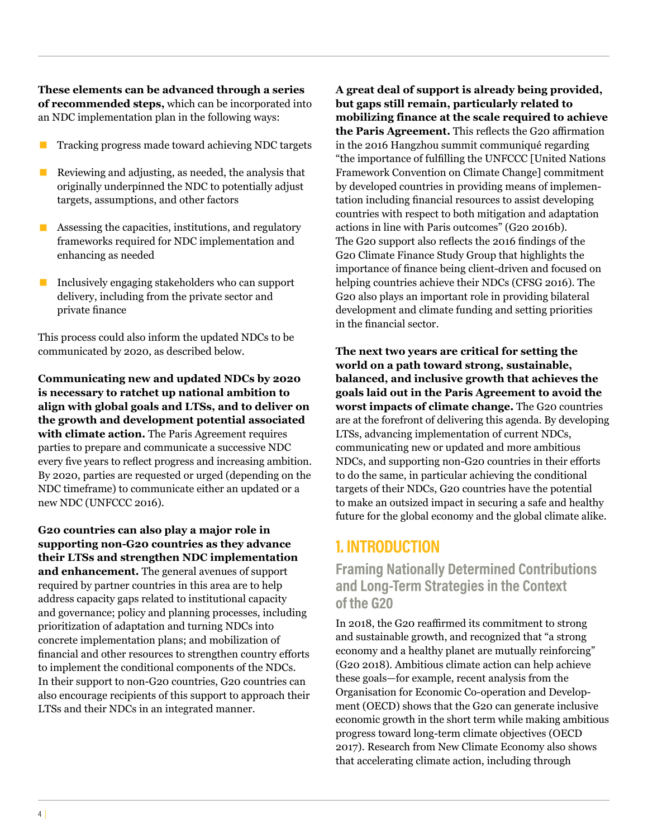**These elements can be advanced through a series of recommended steps,** which can be incorporated into an NDC implementation plan in the following ways:

- Tracking progress made toward achieving NDC targets
- $\blacksquare$  Reviewing and adjusting, as needed, the analysis that originally underpinned the NDC to potentially adjust targets, assumptions, and other factors
- $\blacksquare$  Assessing the capacities, institutions, and regulatory frameworks required for NDC implementation and enhancing as needed
- Inclusively engaging stakeholders who can support delivery, including from the private sector and private finance

This process could also inform the updated NDCs to be communicated by 2020, as described below.

**Communicating new and updated NDCs by 2020 is necessary to ratchet up national ambition to align with global goals and LTSs, and to deliver on the growth and development potential associated with climate action.** The Paris Agreement requires parties to prepare and communicate a successive NDC every five years to reflect progress and increasing ambition. By 2020, parties are requested or urged (depending on the NDC timeframe) to communicate either an updated or a new NDC (UNFCCC 2016).

**G20 countries can also play a major role in supporting non-G20 countries as they advance their LTSs and strengthen NDC implementation and enhancement.** The general avenues of support required by partner countries in this area are to help address capacity gaps related to institutional capacity and governance; policy and planning processes, including prioritization of adaptation and turning NDCs into concrete implementation plans; and mobilization of financial and other resources to strengthen country efforts to implement the conditional components of the NDCs. In their support to non-G20 countries, G20 countries can also encourage recipients of this support to approach their LTSs and their NDCs in an integrated manner.

**A great deal of support is already being provided, but gaps still remain, particularly related to mobilizing finance at the scale required to achieve the Paris Agreement.** This reflects the G20 affirmation in the 2016 Hangzhou summit communiqué regarding "the importance of fulfilling the UNFCCC [United Nations Framework Convention on Climate Change] commitment by developed countries in providing means of implementation including financial resources to assist developing countries with respect to both mitigation and adaptation actions in line with Paris outcomes" (G20 2016b). The G20 support also reflects the 2016 findings of the G20 Climate Finance Study Group that highlights the importance of finance being client-driven and focused on helping countries achieve their NDCs (CFSG 2016). The G20 also plays an important role in providing bilateral development and climate funding and setting priorities in the financial sector.

**The next two years are critical for setting the world on a path toward strong, sustainable, balanced, and inclusive growth that achieves the goals laid out in the Paris Agreement to avoid the worst impacts of climate change.** The G20 countries are at the forefront of delivering this agenda. By developing LTSs, advancing implementation of current NDCs, communicating new or updated and more ambitious NDCs, and supporting non-G20 countries in their efforts to do the same, in particular achieving the conditional targets of their NDCs, G20 countries have the potential to make an outsized impact in securing a safe and healthy future for the global economy and the global climate alike.

### **1. INTRODUCTION**

**Framing Nationally Determined Contributions and Long-Term Strategies in the Context of the G20**

In 2018, the G20 reaffirmed its commitment to strong and sustainable growth, and recognized that "a strong economy and a healthy planet are mutually reinforcing" (G20 2018). Ambitious climate action can help achieve these goals—for example, recent analysis from the Organisation for Economic Co-operation and Development (OECD) shows that the G20 can generate inclusive economic growth in the short term while making ambitious progress toward long-term climate objectives (OECD 2017). Research from New Climate Economy also shows that accelerating climate action, including through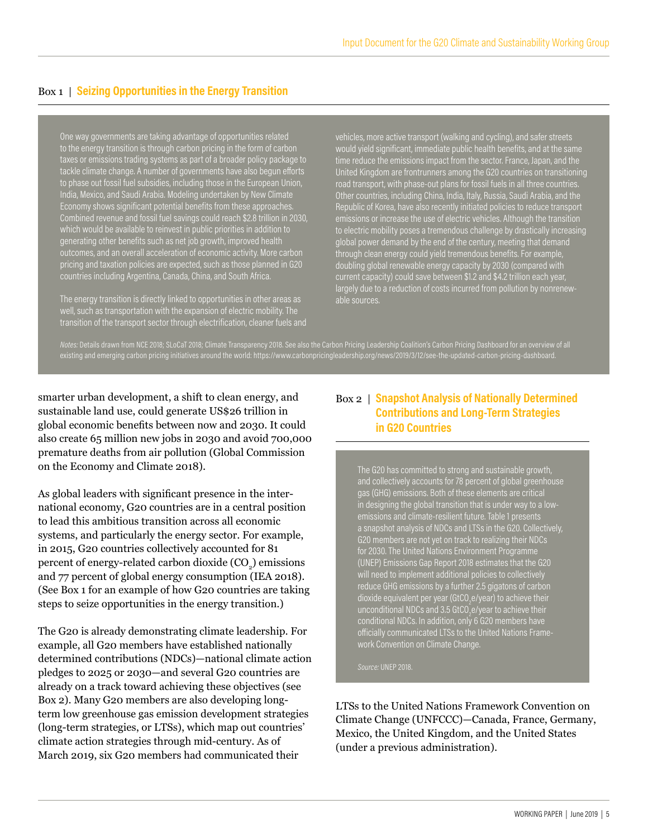#### Box 1 | **Seizing Opportunities in the Energy Transition**

One way governments are taking advantage of opportunities related to the energy transition is through carbon pricing in the form of carbon taxes or emissions trading systems as part of a broader policy package to tackle climate change. A number of governments have also begun efforts to phase out fossil fuel subsidies, including those in the European Union, India, Mexico, and Saudi Arabia. Modeling undertaken by New Climate Economy shows significant potential benefits from these approaches. Combined revenue and fossil fuel savings could reach \$2.8 trillion in 2030, which would be available to reinvest in public priorities in addition to generating other benefits such as net job growth, improved health outcomes, and an overall acceleration of economic activity. More carbon pricing and taxation policies are expected, such as those planned in G20 countries including Argentina, Canada, China, and South Africa.

The energy transition is directly linked to opportunities in other areas as well, such as transportation with the expansion of electric mobility. The transition of the transport sector through electrification, cleaner fuels and

vehicles, more active transport (walking and cycling), and safer streets would yield significant, immediate public health benefits, and at the same time reduce the emissions impact from the sector. France, Japan, and the United Kingdom are frontrunners among the G20 countries on transitioning road transport, with phase-out plans for fossil fuels in all three countries. Other countries, including China, India, Italy, Russia, Saudi Arabia, and the Republic of Korea, have also recently initiated policies to reduce transport emissions or increase the use of electric vehicles. Although the transition to electric mobility poses a tremendous challenge by drastically increasing global power demand by the end of the century, meeting that demand through clean energy could yield tremendous benefits. For example, doubling global renewable energy capacity by 2030 (compared with current capacity) could save between \$1.2 and \$4.2 trillion each year, largely due to a reduction of costs incurred from pollution by nonrenewable sources.

*Notes:* Details drawn from NCE 2018; SLoCaT 2018; Climate Transparency 2018. See also the Carbon Pricing Leadership Coalition's Carbon Pricing Dashboard for an overview of all existing and emerging carbon pricing initiatives around the world: https://www.carbonpricingleadership.org/news/2019/3/12/see-the-updated-carbon-pricing-dashboard.

smarter urban development, a shift to clean energy, and sustainable land use, could generate US\$26 trillion in global economic benefits between now and 2030. It could also create 65 million new jobs in 2030 and avoid 700,000 premature deaths from air pollution (Global Commission on the Economy and Climate 2018).

As global leaders with significant presence in the international economy, G20 countries are in a central position to lead this ambitious transition across all economic systems, and particularly the energy sector. For example, in 2015, G20 countries collectively accounted for 81 percent of energy-related carbon dioxide  $({\rm CO}_2)$  emissions and 77 percent of global energy consumption (IEA 2018). (See Box 1 for an example of how G20 countries are taking steps to seize opportunities in the energy transition.)

The G20 is already demonstrating climate leadership. For example, all G20 members have established nationally determined contributions (NDCs)—national climate action pledges to 2025 or 2030—and several G20 countries are already on a track toward achieving these objectives (see Box 2). Many G20 members are also developing longterm low greenhouse gas emission development strategies (long-term strategies, or LTSs), which map out countries' climate action strategies through mid-century. As of March 2019, six G20 members had communicated their

#### Box 2 | **Snapshot Analysis of Nationally Determined Contributions and Long-Term Strategies in G20 Countries**

The G20 has committed to strong and sustainable growth, and collectively accounts for 78 percent of global greenhouse gas (GHG) emissions. Both of these elements are critical in designing the global transition that is under way to a lowemissions and climate-resilient future. Table 1 presents a snapshot analysis of NDCs and LTSs in the G20. Collectively, G20 members are not yet on track to realizing their NDCs for 2030. The United Nations Environment Programme (UNEP) Emissions Gap Report 2018 estimates that the G20 will need to implement additional policies to collectively reduce GHG emissions by a further 2.5 gigatons of carbon dioxide equivalent per year (GtCO<sub>2</sub>e/year) to achieve their unconditional NDCs and 3.5 GtCO $_2$ e/year to achieve their conditional NDCs. In addition, only 6 G20 members have officially communicated LTSs to the United Nations Framework Convention on Climate Change.

*Source:* UNEP 2018.

LTSs to the United Nations Framework Convention on Climate Change (UNFCCC)—Canada, France, Germany, Mexico, the United Kingdom, and the United States (under a previous administration).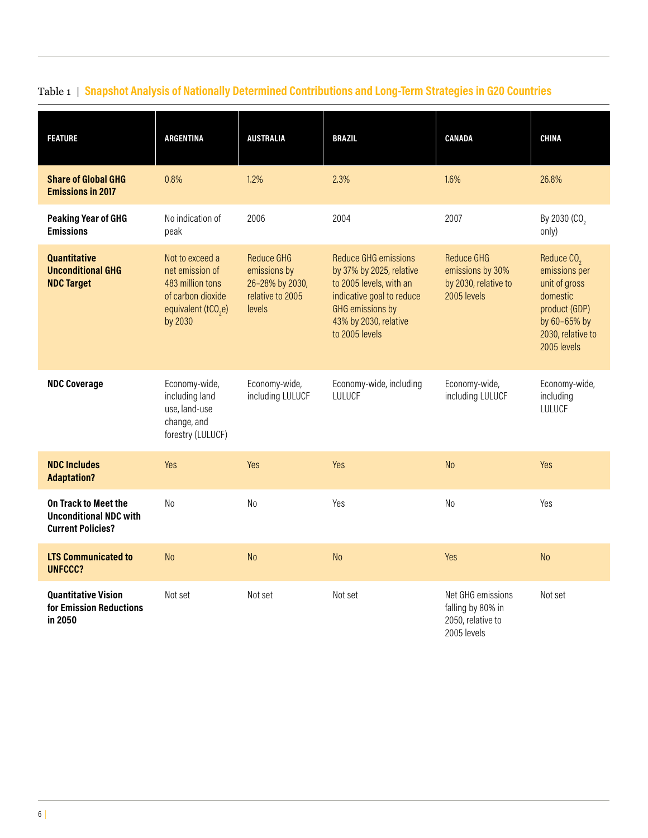| <b>FEATURE</b>                                                                    | <b>ARGENTINA</b>                                                                                                          | <b>AUSTRALIA</b>                                                                   | <b>BRAZIL</b>                                                                                                                                                                  | <b>CANADA</b>                                                                | <b>CHINA</b>                                                                                                                              |
|-----------------------------------------------------------------------------------|---------------------------------------------------------------------------------------------------------------------------|------------------------------------------------------------------------------------|--------------------------------------------------------------------------------------------------------------------------------------------------------------------------------|------------------------------------------------------------------------------|-------------------------------------------------------------------------------------------------------------------------------------------|
| <b>Share of Global GHG</b><br><b>Emissions in 2017</b>                            | 0.8%                                                                                                                      | 1.2%                                                                               | 2.3%                                                                                                                                                                           | 1.6%                                                                         | 26.8%                                                                                                                                     |
| <b>Peaking Year of GHG</b><br><b>Emissions</b>                                    | No indication of<br>peak                                                                                                  | 2006                                                                               | 2004                                                                                                                                                                           | 2007                                                                         | By 2030 (CO <sub>2</sub><br>only)                                                                                                         |
| <b>Quantitative</b><br><b>Unconditional GHG</b><br><b>NDC Target</b>              | Not to exceed a<br>net emission of<br>483 million tons<br>of carbon dioxide<br>equivalent (tCO <sub>2</sub> e)<br>by 2030 | <b>Reduce GHG</b><br>emissions by<br>26-28% by 2030,<br>relative to 2005<br>levels | <b>Reduce GHG emissions</b><br>by 37% by 2025, relative<br>to 2005 levels, with an<br>indicative goal to reduce<br>GHG emissions by<br>43% by 2030, relative<br>to 2005 levels | <b>Reduce GHG</b><br>emissions by 30%<br>by 2030, relative to<br>2005 levels | Reduce CO <sub>2</sub><br>emissions per<br>unit of gross<br>domestic<br>product (GDP)<br>by 60-65% by<br>2030, relative to<br>2005 levels |
| <b>NDC Coverage</b>                                                               | Economy-wide,<br>including land<br>use, land-use<br>change, and<br>forestry (LULUCF)                                      | Economy-wide,<br>including LULUCF                                                  | Economy-wide, including<br>LULUCF                                                                                                                                              | Economy-wide,<br>including LULUCF                                            | Economy-wide,<br>including<br>LULUCF                                                                                                      |
| <b>NDC Includes</b><br><b>Adaptation?</b>                                         | Yes                                                                                                                       | Yes                                                                                | Yes                                                                                                                                                                            | <b>No</b>                                                                    | Yes                                                                                                                                       |
| On Track to Meet the<br><b>Unconditional NDC with</b><br><b>Current Policies?</b> | N <sub>o</sub>                                                                                                            | N <sub>o</sub>                                                                     | Yes                                                                                                                                                                            | N <sub>0</sub>                                                               | Yes                                                                                                                                       |
| <b>LTS Communicated to</b><br><b>UNFCCC?</b>                                      | <b>No</b>                                                                                                                 | <b>No</b>                                                                          | N <sub>o</sub>                                                                                                                                                                 | Yes                                                                          | N <sub>o</sub>                                                                                                                            |
| <b>Quantitative Vision</b><br>for Emission Reductions<br>in 2050                  | Not set                                                                                                                   | Not set                                                                            | Not set                                                                                                                                                                        | Net GHG emissions<br>falling by 80% in<br>2050, relative to<br>2005 levels   | Not set                                                                                                                                   |

# Table 1 | **Snapshot Analysis of Nationally Determined Contributions and Long-Term Strategies in G20 Countries**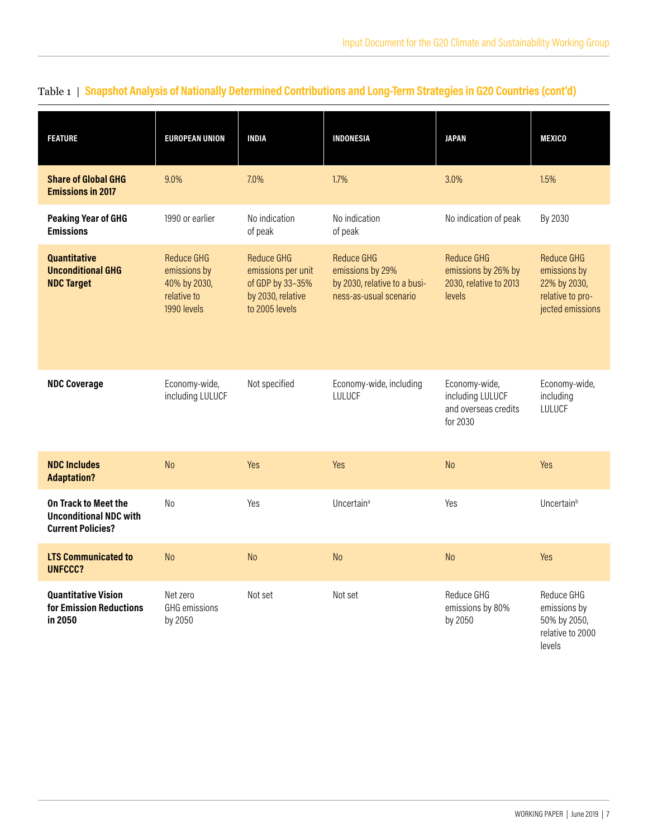| <b>FEATURE</b>                                                                    | <b>EUROPEAN UNION</b>                                                    | <b>INDIA</b>                                                                                       | <b>INDONESIA</b>                                                                                | <b>JAPAN</b>                                                                 | <b>MEXICO</b>                                                                      |
|-----------------------------------------------------------------------------------|--------------------------------------------------------------------------|----------------------------------------------------------------------------------------------------|-------------------------------------------------------------------------------------------------|------------------------------------------------------------------------------|------------------------------------------------------------------------------------|
| <b>Share of Global GHG</b><br><b>Emissions in 2017</b>                            | 9.0%                                                                     | 7.0%                                                                                               | 1.7%                                                                                            | 3.0%                                                                         | 1.5%                                                                               |
| <b>Peaking Year of GHG</b><br><b>Emissions</b>                                    | 1990 or earlier                                                          | No indication<br>of peak                                                                           | No indication<br>of peak                                                                        | No indication of peak                                                        | By 2030                                                                            |
| <b>Quantitative</b><br><b>Unconditional GHG</b><br><b>NDC Target</b>              | Reduce GHG<br>emissions by<br>40% by 2030,<br>relative to<br>1990 levels | <b>Reduce GHG</b><br>emissions per unit<br>of GDP by 33-35%<br>by 2030, relative<br>to 2005 levels | <b>Reduce GHG</b><br>emissions by 29%<br>by 2030, relative to a busi-<br>ness-as-usual scenario | <b>Reduce GHG</b><br>emissions by 26% by<br>2030, relative to 2013<br>levels | Reduce GHG<br>emissions by<br>22% by 2030,<br>relative to pro-<br>jected emissions |
| <b>NDC Coverage</b>                                                               | Economy-wide,<br>including LULUCF                                        | Not specified                                                                                      | Economy-wide, including<br>LULUCF                                                               | Economy-wide,<br>including LULUCF<br>and overseas credits<br>for 2030        | Economy-wide,<br>including<br>LULUCF                                               |
| <b>NDC Includes</b><br><b>Adaptation?</b>                                         | <b>No</b>                                                                | Yes                                                                                                | Yes                                                                                             | <b>No</b>                                                                    | Yes                                                                                |
| On Track to Meet the<br><b>Unconditional NDC with</b><br><b>Current Policies?</b> | N <sub>o</sub>                                                           | Yes                                                                                                | Uncertain <sup>a</sup>                                                                          | Yes                                                                          | Uncertain <sup>b</sup>                                                             |
| <b>LTS Communicated to</b><br><b>UNFCCC?</b>                                      | <b>No</b>                                                                | <b>No</b>                                                                                          | N <sub>o</sub>                                                                                  | <b>No</b>                                                                    | Yes                                                                                |
| <b>Quantitative Vision</b><br>for Emission Reductions<br>in 2050                  | Net zero<br>GHG emissions<br>by 2050                                     | Not set                                                                                            | Not set                                                                                         | Reduce GHG<br>emissions by 80%<br>by 2050                                    | Reduce GHG<br>emissions by<br>50% by 2050,<br>relative to 2000<br>levels           |

# Table 1 | **Snapshot Analysis of Nationally Determined Contributions and Long-Term Strategies in G20 Countries (cont'd)**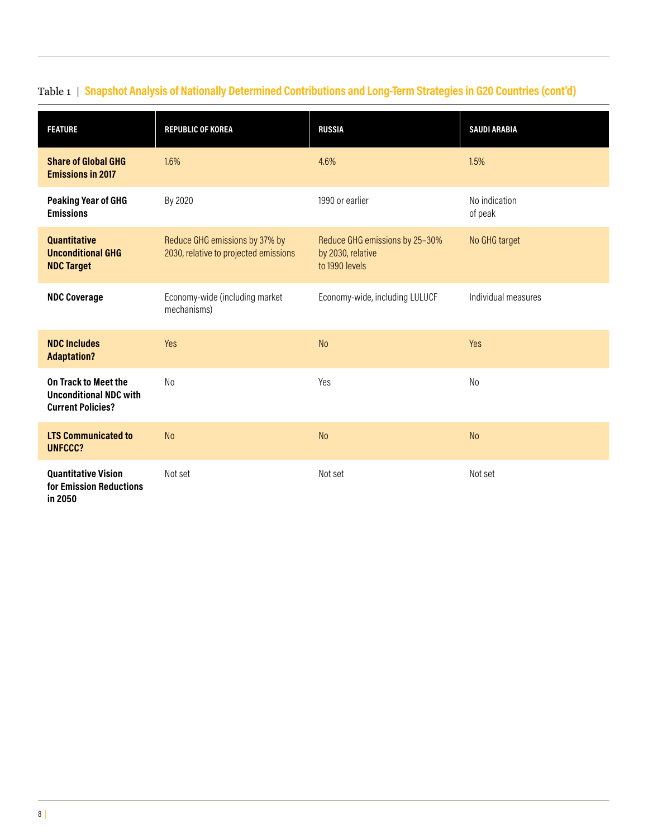| <b>FEATURE</b>                                                                           | <b>REPUBLIC OF KOREA</b>                                                | <b>RUSSIA</b>                                                         | <b>SAUDI ARABIA</b>      |
|------------------------------------------------------------------------------------------|-------------------------------------------------------------------------|-----------------------------------------------------------------------|--------------------------|
| <b>Share of Global GHG</b><br><b>Emissions in 2017</b>                                   | 1.6%                                                                    | 4.6%                                                                  | 1.5%                     |
| <b>Peaking Year of GHG</b><br><b>Emissions</b>                                           | By 2020                                                                 | 1990 or earlier                                                       | No indication<br>of peak |
| <b>Quantitative</b><br><b>Unconditional GHG</b><br><b>NDC Target</b>                     | Reduce GHG emissions by 37% by<br>2030, relative to projected emissions | Reduce GHG emissions by 25-30%<br>by 2030, relative<br>to 1990 levels | No GHG target            |
| <b>NDC Coverage</b>                                                                      | Economy-wide (including market<br>mechanisms)                           | Economy-wide, including LULUCF                                        | Individual measures      |
| <b>NDC Includes</b><br><b>Adaptation?</b>                                                | Yes                                                                     | <b>No</b>                                                             | Yes                      |
| <b>On Track to Meet the</b><br><b>Unconditional NDC with</b><br><b>Current Policies?</b> | No                                                                      | Yes                                                                   | No                       |
| <b>LTS Communicated to</b><br><b>UNFCCC?</b>                                             | N <sub>o</sub>                                                          | <b>No</b>                                                             | <b>No</b>                |
| <b>Quantitative Vision</b><br>for Emission Reductions<br>in 2050                         | Not set                                                                 | Not set                                                               | Not set                  |

# Table 1 | **Snapshot Analysis of Nationally Determined Contributions and Long-Term Strategies in G20 Countries (cont'd)**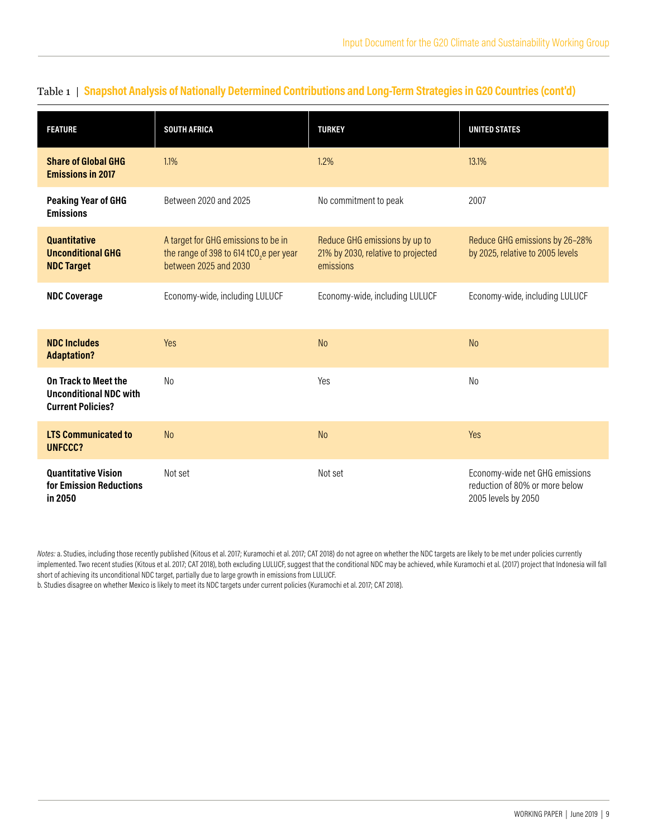| <b>FEATURE</b>                                                                           | <b>SOUTH AFRICA</b>                                                                                                 | <b>TURKEY</b>                                                                    | <b>UNITED STATES</b>                                                                    |
|------------------------------------------------------------------------------------------|---------------------------------------------------------------------------------------------------------------------|----------------------------------------------------------------------------------|-----------------------------------------------------------------------------------------|
| <b>Share of Global GHG</b><br><b>Emissions in 2017</b>                                   | 1.1%                                                                                                                | 1.2%                                                                             | 13.1%                                                                                   |
| <b>Peaking Year of GHG</b><br><b>Emissions</b>                                           | Between 2020 and 2025                                                                                               |                                                                                  | 2007                                                                                    |
| <b>Quantitative</b><br><b>Unconditional GHG</b><br><b>NDC Target</b>                     | A target for GHG emissions to be in<br>the range of 398 to 614 tCO <sub>2</sub> e per year<br>between 2025 and 2030 | Reduce GHG emissions by up to<br>21% by 2030, relative to projected<br>emissions | Reduce GHG emissions by 26-28%<br>by 2025, relative to 2005 levels                      |
| <b>NDC Coverage</b>                                                                      | Economy-wide, including LULUCF                                                                                      | Economy-wide, including LULUCF                                                   | Economy-wide, including LULUCF                                                          |
| <b>NDC Includes</b><br><b>Adaptation?</b>                                                | <b>Yes</b>                                                                                                          | <b>No</b>                                                                        | <b>No</b>                                                                               |
| <b>On Track to Meet the</b><br><b>Unconditional NDC with</b><br><b>Current Policies?</b> | N <sub>o</sub>                                                                                                      | Yes                                                                              | N <sub>o</sub>                                                                          |
| <b>LTS Communicated to</b><br>UNFCCC?                                                    | <b>No</b>                                                                                                           | <b>No</b>                                                                        | Yes                                                                                     |
| <b>Quantitative Vision</b><br>for Emission Reductions<br>in 2050                         | Not set                                                                                                             | Not set                                                                          | Economy-wide net GHG emissions<br>reduction of 80% or more below<br>2005 levels by 2050 |

#### Table 1 | **Snapshot Analysis of Nationally Determined Contributions and Long-Term Strategies in G20 Countries (cont'd)**

*Notes:* a. Studies, including those recently published (Kitous et al. 2017; Kuramochi et al. 2017; CAT 2018) do not agree on whether the NDC targets are likely to be met under policies currently implemented. Two recent studies (Kitous et al. 2017; CAT 2018), both excluding LULUCF, suggest that the conditional NDC may be achieved, while Kuramochi et al. (2017) project that Indonesia will fall short of achieving its unconditional NDC target, partially due to large growth in emissions from LULUCF.

b. Studies disagree on whether Mexico is likely to meet its NDC targets under current policies (Kuramochi et al. 2017; CAT 2018).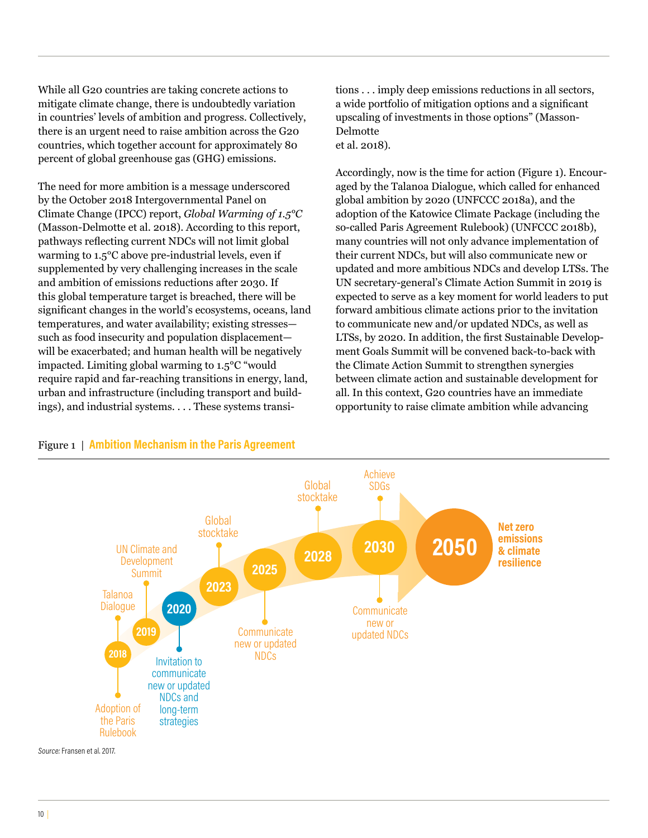While all G20 countries are taking concrete actions to mitigate climate change, there is undoubtedly variation in countries' levels of ambition and progress. Collectively, there is an urgent need to raise ambition across the G20 countries, which together account for approximately 80 percent of global greenhouse gas (GHG) emissions.

The need for more ambition is a message underscored by the October 2018 Intergovernmental Panel on Climate Change (IPCC) report, *Global Warming of 1.5°C* (Masson-Delmotte et al. 2018). According to this report, pathways reflecting current NDCs will not limit global warming to 1.5°C above pre-industrial levels, even if supplemented by very challenging increases in the scale and ambition of emissions reductions after 2030. If this global temperature target is breached, there will be significant changes in the world's ecosystems, oceans, land temperatures, and water availability; existing stresses such as food insecurity and population displacement will be exacerbated; and human health will be negatively impacted. Limiting global warming to 1.5°C "would require rapid and far-reaching transitions in energy, land, urban and infrastructure (including transport and buildings), and industrial systems. . . . These systems transi-

tions . . . imply deep emissions reductions in all sectors, a wide portfolio of mitigation options and a significant upscaling of investments in those options" (Masson-Delmotte et al. 2018).

Accordingly, now is the time for action (Figure 1). Encouraged by the Talanoa Dialogue, which called for enhanced global ambition by 2020 (UNFCCC 2018a), and the adoption of the Katowice Climate Package (including the so-called Paris Agreement Rulebook) (UNFCCC 2018b), many countries will not only advance implementation of their current NDCs, but will also communicate new or updated and more ambitious NDCs and develop LTSs. The UN secretary-general's Climate Action Summit in 2019 is expected to serve as a key moment for world leaders to put forward ambitious climate actions prior to the invitation to communicate new and/or updated NDCs, as well as LTSs, by 2020. In addition, the first Sustainable Development Goals Summit will be convened back-to-back with the Climate Action Summit to strengthen synergies between climate action and sustainable development for all. In this context, G20 countries have an immediate opportunity to raise climate ambition while advancing



#### Figure 1 | **Ambition Mechanism in the Paris Agreement**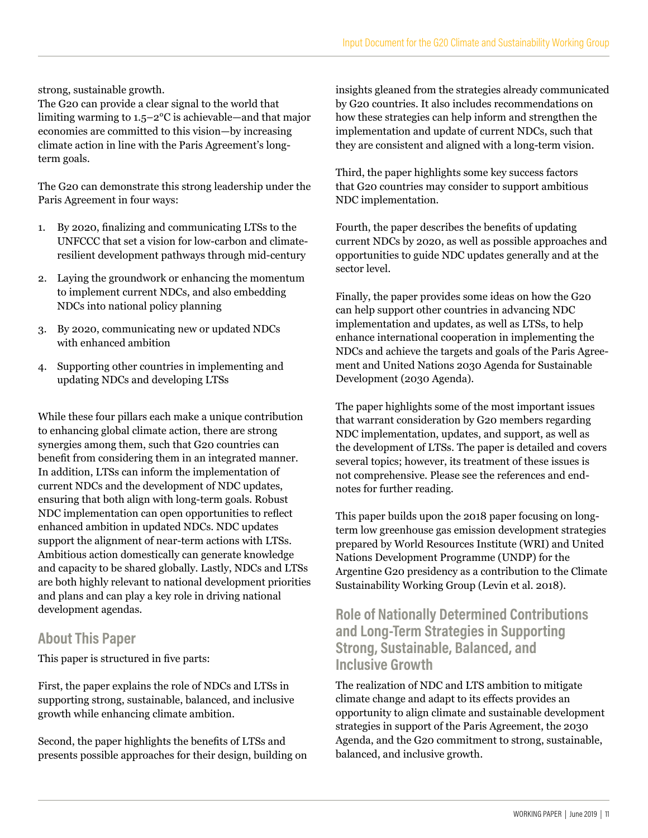strong, sustainable growth.

The G20 can provide a clear signal to the world that limiting warming to 1.5–2°C is achievable—and that major economies are committed to this vision—by increasing climate action in line with the Paris Agreement's longterm goals.

The G20 can demonstrate this strong leadership under the Paris Agreement in four ways:

- 1. By 2020, finalizing and communicating LTSs to the UNFCCC that set a vision for low-carbon and climateresilient development pathways through mid-century
- 2. Laying the groundwork or enhancing the momentum to implement current NDCs, and also embedding NDCs into national policy planning
- 3. By 2020, communicating new or updated NDCs with enhanced ambition
- 4. Supporting other countries in implementing and updating NDCs and developing LTSs

While these four pillars each make a unique contribution to enhancing global climate action, there are strong synergies among them, such that G20 countries can benefit from considering them in an integrated manner. In addition, LTSs can inform the implementation of current NDCs and the development of NDC updates, ensuring that both align with long-term goals. Robust NDC implementation can open opportunities to reflect enhanced ambition in updated NDCs. NDC updates support the alignment of near-term actions with LTSs. Ambitious action domestically can generate knowledge and capacity to be shared globally. Lastly, NDCs and LTSs are both highly relevant to national development priorities and plans and can play a key role in driving national development agendas.

### **About This Paper**

This paper is structured in five parts:

First, the paper explains the role of NDCs and LTSs in supporting strong, sustainable, balanced, and inclusive growth while enhancing climate ambition.

Second, the paper highlights the benefits of LTSs and presents possible approaches for their design, building on insights gleaned from the strategies already communicated by G20 countries. It also includes recommendations on how these strategies can help inform and strengthen the implementation and update of current NDCs, such that they are consistent and aligned with a long-term vision.

Third, the paper highlights some key success factors that G20 countries may consider to support ambitious NDC implementation.

Fourth, the paper describes the benefits of updating current NDCs by 2020, as well as possible approaches and opportunities to guide NDC updates generally and at the sector level.

Finally, the paper provides some ideas on how the G20 can help support other countries in advancing NDC implementation and updates, as well as LTSs, to help enhance international cooperation in implementing the NDCs and achieve the targets and goals of the Paris Agreement and United Nations 2030 Agenda for Sustainable Development (2030 Agenda).

The paper highlights some of the most important issues that warrant consideration by G20 members regarding NDC implementation, updates, and support, as well as the development of LTSs. The paper is detailed and covers several topics; however, its treatment of these issues is not comprehensive. Please see the references and endnotes for further reading.

This paper builds upon the 2018 paper focusing on longterm low greenhouse gas emission development strategies prepared by World Resources Institute (WRI) and United Nations Development Programme (UNDP) for the Argentine G20 presidency as a contribution to the Climate Sustainability Working Group (Levin et al. 2018).

### **Role of Nationally Determined Contributions and Long-Term Strategies in Supporting Strong, Sustainable, Balanced, and Inclusive Growth**

The realization of NDC and LTS ambition to mitigate climate change and adapt to its effects provides an opportunity to align climate and sustainable development strategies in support of the Paris Agreement, the 2030 Agenda, and the G20 commitment to strong, sustainable, balanced, and inclusive growth.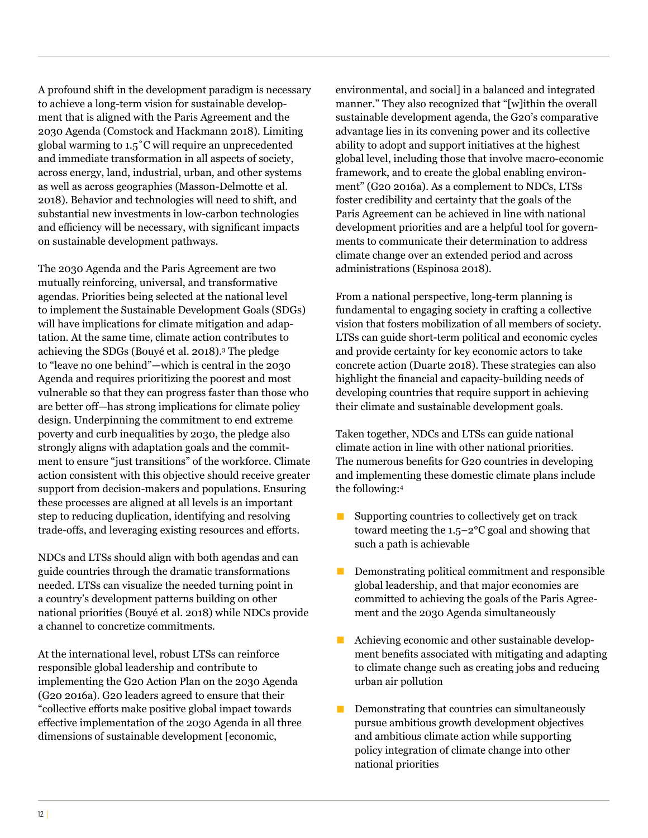A profound shift in the development paradigm is necessary to achieve a long-term vision for sustainable development that is aligned with the Paris Agreement and the 2030 Agenda (Comstock and Hackmann 2018). Limiting global warming to 1.5˚C will require an unprecedented and immediate transformation in all aspects of society, across energy, land, industrial, urban, and other systems as well as across geographies (Masson-Delmotte et al. 2018). Behavior and technologies will need to shift, and substantial new investments in low-carbon technologies and efficiency will be necessary, with significant impacts on sustainable development pathways.

The 2030 Agenda and the Paris Agreement are two mutually reinforcing, universal, and transformative agendas. Priorities being selected at the national level to implement the Sustainable Development Goals (SDGs) will have implications for climate mitigation and adaptation. At the same time, climate action contributes to achieving the SDGs (Bouyé et al. 2018).3 The pledge to "leave no one behind"—which is central in the 2030 Agenda and requires prioritizing the poorest and most vulnerable so that they can progress faster than those who are better off—has strong implications for climate policy design. Underpinning the commitment to end extreme poverty and curb inequalities by 2030, the pledge also strongly aligns with adaptation goals and the commitment to ensure "just transitions" of the workforce. Climate action consistent with this objective should receive greater support from decision-makers and populations. Ensuring these processes are aligned at all levels is an important step to reducing duplication, identifying and resolving trade-offs, and leveraging existing resources and efforts.

NDCs and LTSs should align with both agendas and can guide countries through the dramatic transformations needed. LTSs can visualize the needed turning point in a country's development patterns building on other national priorities (Bouyé et al. 2018) while NDCs provide a channel to concretize commitments.

At the international level, robust LTSs can reinforce responsible global leadership and contribute to implementing the G20 Action Plan on the 2030 Agenda (G20 2016a). G20 leaders agreed to ensure that their "collective efforts make positive global impact towards effective implementation of the 2030 Agenda in all three dimensions of sustainable development [economic,

environmental, and social] in a balanced and integrated manner." They also recognized that "[w]ithin the overall sustainable development agenda, the G20's comparative advantage lies in its convening power and its collective ability to adopt and support initiatives at the highest global level, including those that involve macro-economic framework, and to create the global enabling environment" (G20 2016a). As a complement to NDCs, LTSs foster credibility and certainty that the goals of the Paris Agreement can be achieved in line with national development priorities and are a helpful tool for governments to communicate their determination to address climate change over an extended period and across administrations (Espinosa 2018).

From a national perspective, long-term planning is fundamental to engaging society in crafting a collective vision that fosters mobilization of all members of society. LTSs can guide short-term political and economic cycles and provide certainty for key economic actors to take concrete action (Duarte 2018). These strategies can also highlight the financial and capacity-building needs of developing countries that require support in achieving their climate and sustainable development goals.

Taken together, NDCs and LTSs can guide national climate action in line with other national priorities. The numerous benefits for G20 countries in developing and implementing these domestic climate plans include the following:4

- $\blacksquare$  Supporting countries to collectively get on track toward meeting the 1.5–2°C goal and showing that such a path is achievable
- $\blacksquare$  Demonstrating political commitment and responsible global leadership, and that major economies are committed to achieving the goals of the Paris Agreement and the 2030 Agenda simultaneously
- Achieving economic and other sustainable development benefits associated with mitigating and adapting to climate change such as creating jobs and reducing urban air pollution
- Demonstrating that countries can simultaneously pursue ambitious growth development objectives and ambitious climate action while supporting policy integration of climate change into other national priorities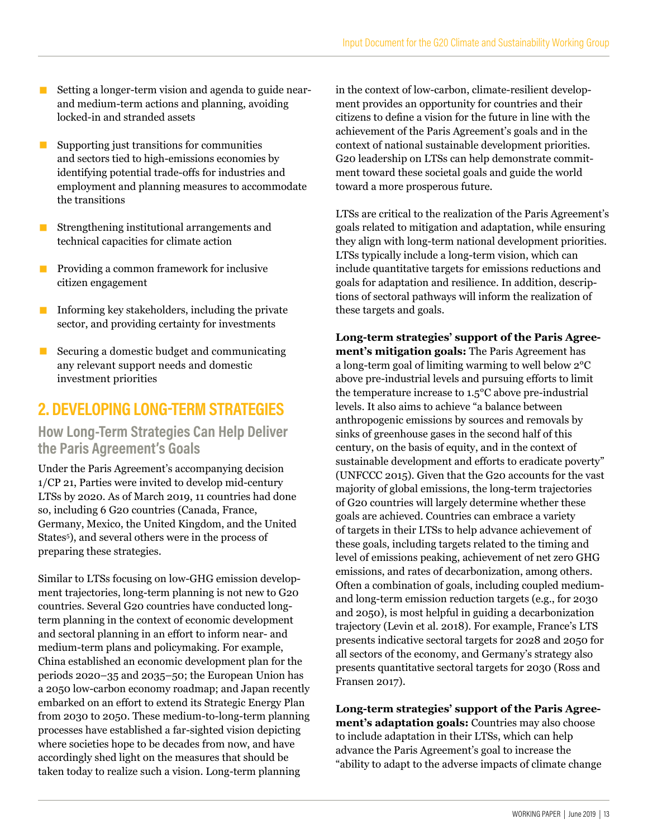- Setting a longer-term vision and agenda to guide nearand medium-term actions and planning, avoiding locked-in and stranded assets
- Supporting just transitions for communities and sectors tied to high-emissions economies by identifying potential trade-offs for industries and employment and planning measures to accommodate the transitions
- Strengthening institutional arrangements and technical capacities for climate action
- Providing a common framework for inclusive citizen engagement
- **Informing key stakeholders, including the private** sector, and providing certainty for investments
- $\blacksquare$  Securing a domestic budget and communicating any relevant support needs and domestic investment priorities

# **2. DEVELOPING LONG-TERM STRATEGIES**

#### **How Long-Term Strategies Can Help Deliver the Paris Agreement's Goals**

Under the Paris Agreement's accompanying decision 1/CP 21, Parties were invited to develop mid-century LTSs by 2020. As of March 2019, 11 countries had done so, including 6 G20 countries (Canada, France, Germany, Mexico, the United Kingdom, and the United States<sup>5</sup>), and several others were in the process of preparing these strategies.

Similar to LTSs focusing on low-GHG emission development trajectories, long-term planning is not new to G20 countries. Several G20 countries have conducted longterm planning in the context of economic development and sectoral planning in an effort to inform near- and medium-term plans and policymaking. For example, China established an economic development plan for the periods 2020–35 and 2035–50; the European Union has a 2050 low-carbon economy roadmap; and Japan recently embarked on an effort to extend its Strategic Energy Plan from 2030 to 2050. These medium-to-long-term planning processes have established a far-sighted vision depicting where societies hope to be decades from now, and have accordingly shed light on the measures that should be taken today to realize such a vision. Long-term planning

in the context of low-carbon, climate-resilient development provides an opportunity for countries and their citizens to define a vision for the future in line with the achievement of the Paris Agreement's goals and in the context of national sustainable development priorities. G20 leadership on LTSs can help demonstrate commitment toward these societal goals and guide the world toward a more prosperous future.

LTSs are critical to the realization of the Paris Agreement's goals related to mitigation and adaptation, while ensuring they align with long-term national development priorities. LTSs typically include a long-term vision, which can include quantitative targets for emissions reductions and goals for adaptation and resilience. In addition, descriptions of sectoral pathways will inform the realization of these targets and goals.

**Long-term strategies' support of the Paris Agreement's mitigation goals:** The Paris Agreement has a long-term goal of limiting warming to well below 2°C above pre-industrial levels and pursuing efforts to limit the temperature increase to 1.5°C above pre-industrial levels. It also aims to achieve "a balance between anthropogenic emissions by sources and removals by sinks of greenhouse gases in the second half of this century, on the basis of equity, and in the context of sustainable development and efforts to eradicate poverty" (UNFCCC 2015). Given that the G20 accounts for the vast majority of global emissions, the long-term trajectories of G20 countries will largely determine whether these goals are achieved. Countries can embrace a variety of targets in their LTSs to help advance achievement of these goals, including targets related to the timing and level of emissions peaking, achievement of net zero GHG emissions, and rates of decarbonization, among others. Often a combination of goals, including coupled mediumand long-term emission reduction targets (e.g., for 2030 and 2050), is most helpful in guiding a decarbonization trajectory (Levin et al. 2018). For example, France's LTS presents indicative sectoral targets for 2028 and 2050 for all sectors of the economy, and Germany's strategy also presents quantitative sectoral targets for 2030 (Ross and Fransen 2017).

**Long-term strategies' support of the Paris Agreement's adaptation goals:** Countries may also choose to include adaptation in their LTSs, which can help advance the Paris Agreement's goal to increase the "ability to adapt to the adverse impacts of climate change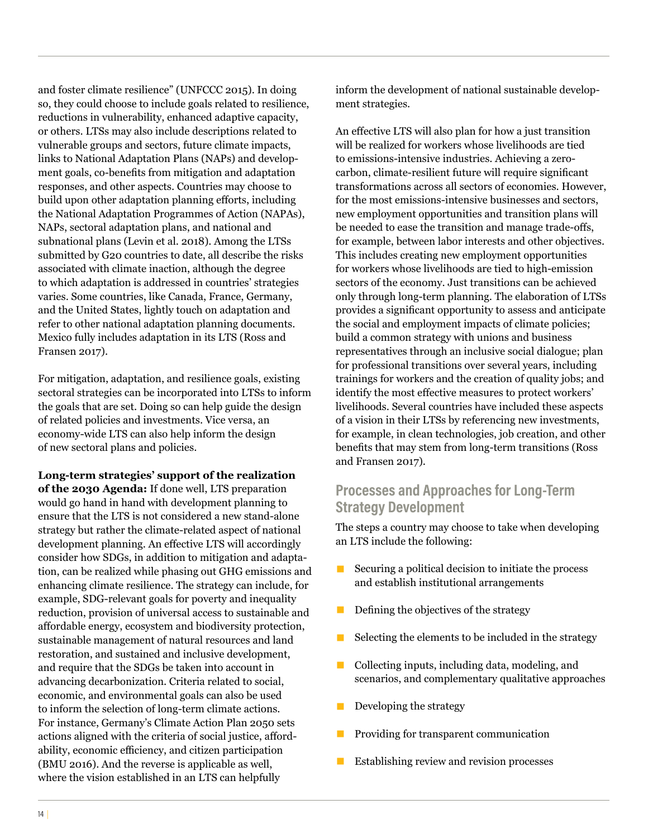and foster climate resilience" (UNFCCC 2015). In doing so, they could choose to include goals related to resilience, reductions in vulnerability, enhanced adaptive capacity, or others. LTSs may also include descriptions related to vulnerable groups and sectors, future climate impacts, links to National Adaptation Plans (NAPs) and development goals, co-benefits from mitigation and adaptation responses, and other aspects. Countries may choose to build upon other adaptation planning efforts, including the National Adaptation Programmes of Action (NAPAs), NAPs, sectoral adaptation plans, and national and subnational plans (Levin et al. 2018). Among the LTSs submitted by G20 countries to date, all describe the risks associated with climate inaction, although the degree to which adaptation is addressed in countries' strategies varies. Some countries, like Canada, France, Germany, and the United States, lightly touch on adaptation and refer to other national adaptation planning documents. Mexico fully includes adaptation in its LTS (Ross and Fransen 2017).

For mitigation, adaptation, and resilience goals, existing sectoral strategies can be incorporated into LTSs to inform the goals that are set. Doing so can help guide the design of related policies and investments. Vice versa, an economy-wide LTS can also help inform the design of new sectoral plans and policies.

**Long-term strategies' support of the realization of the 2030 Agenda:** If done well, LTS preparation would go hand in hand with development planning to ensure that the LTS is not considered a new stand-alone strategy but rather the climate-related aspect of national development planning. An effective LTS will accordingly consider how SDGs, in addition to mitigation and adaptation, can be realized while phasing out GHG emissions and enhancing climate resilience. The strategy can include, for example, SDG-relevant goals for poverty and inequality reduction, provision of universal access to sustainable and affordable energy, ecosystem and biodiversity protection, sustainable management of natural resources and land restoration, and sustained and inclusive development, and require that the SDGs be taken into account in advancing decarbonization. Criteria related to social, economic, and environmental goals can also be used to inform the selection of long-term climate actions. For instance, Germany's Climate Action Plan 2050 sets actions aligned with the criteria of social justice, affordability, economic efficiency, and citizen participation (BMU 2016). And the reverse is applicable as well, where the vision established in an LTS can helpfully

inform the development of national sustainable development strategies.

An effective LTS will also plan for how a just transition will be realized for workers whose livelihoods are tied to emissions-intensive industries. Achieving a zerocarbon, climate-resilient future will require significant transformations across all sectors of economies. However, for the most emissions-intensive businesses and sectors, new employment opportunities and transition plans will be needed to ease the transition and manage trade-offs, for example, between labor interests and other objectives. This includes creating new employment opportunities for workers whose livelihoods are tied to high-emission sectors of the economy. Just transitions can be achieved only through long-term planning. The elaboration of LTSs provides a significant opportunity to assess and anticipate the social and employment impacts of climate policies; build a common strategy with unions and business representatives through an inclusive social dialogue; plan for professional transitions over several years, including trainings for workers and the creation of quality jobs; and identify the most effective measures to protect workers' livelihoods. Several countries have included these aspects of a vision in their LTSs by referencing new investments, for example, in clean technologies, job creation, and other benefits that may stem from long-term transitions (Ross and Fransen 2017).

### **Processes and Approaches for Long-Term Strategy Development**

The steps a country may choose to take when developing an LTS include the following:

- $\blacksquare$  Securing a political decision to initiate the process and establish institutional arrangements
- $\blacksquare$  Defining the objectives of the strategy
- $\blacksquare$  Selecting the elements to be included in the strategy
- Collecting inputs, including data, modeling, and scenarios, and complementary qualitative approaches
- Developing the strategy
- Providing for transparent communication
- Establishing review and revision processes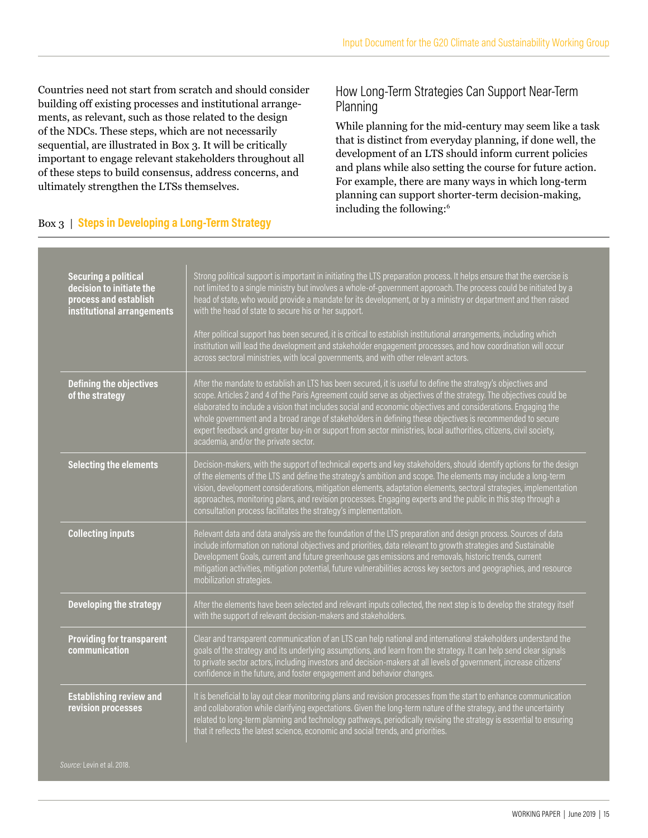Countries need not start from scratch and should consider building off existing processes and institutional arrangements, as relevant, such as those related to the design of the NDCs. These steps, which are not necessarily sequential, are illustrated in Box 3. It will be critically important to engage relevant stakeholders throughout all of these steps to build consensus, address concerns, and ultimately strengthen the LTSs themselves.

#### Box 3 | **Steps in Developing a Long-Term Strategy**

#### How Long-Term Strategies Can Support Near-Term Planning

While planning for the mid-century may seem like a task that is distinct from everyday planning, if done well, the development of an LTS should inform current policies and plans while also setting the course for future action. For example, there are many ways in which long-term planning can support shorter-term decision-making, including the following:6

| <b>Securing a political</b><br>decision to initiate the<br>process and establish<br>institutional arrangements | Strong political support is important in initiating the LTS preparation process. It helps ensure that the exercise is<br>not limited to a single ministry but involves a whole-of-government approach. The process could be initiated by a<br>head of state, who would provide a mandate for its development, or by a ministry or department and then raised<br>with the head of state to secure his or her support.                                                                                                                                                                                                       |
|----------------------------------------------------------------------------------------------------------------|----------------------------------------------------------------------------------------------------------------------------------------------------------------------------------------------------------------------------------------------------------------------------------------------------------------------------------------------------------------------------------------------------------------------------------------------------------------------------------------------------------------------------------------------------------------------------------------------------------------------------|
|                                                                                                                | After political support has been secured, it is critical to establish institutional arrangements, including which<br>institution will lead the development and stakeholder engagement processes, and how coordination will occur<br>across sectoral ministries, with local governments, and with other relevant actors.                                                                                                                                                                                                                                                                                                    |
| <b>Defining the objectives</b><br>of the strategy                                                              | After the mandate to establish an LTS has been secured, it is useful to define the strategy's objectives and<br>scope. Articles 2 and 4 of the Paris Agreement could serve as objectives of the strategy. The objectives could be<br>elaborated to include a vision that includes social and economic objectives and considerations. Engaging the<br>whole government and a broad range of stakeholders in defining these objectives is recommended to secure<br>expert feedback and greater buy-in or support from sector ministries, local authorities, citizens, civil society,<br>academia, and/or the private sector. |
| <b>Selecting the elements</b>                                                                                  | Decision-makers, with the support of technical experts and key stakeholders, should identify options for the design<br>of the elements of the LTS and define the strategy's ambition and scope. The elements may include a long-term<br>vision, development considerations, mitigation elements, adaptation elements, sectoral strategies, implementation<br>approaches, monitoring plans, and revision processes. Engaging experts and the public in this step through a<br>consultation process facilitates the strategy's implementation.                                                                               |
| <b>Collecting inputs</b>                                                                                       | Relevant data and data analysis are the foundation of the LTS preparation and design process. Sources of data<br>include information on national objectives and priorities, data relevant to growth strategies and Sustainable<br>Development Goals, current and future greenhouse gas emissions and removals, historic trends, current<br>mitigation activities, mitigation potential, future vulnerabilities across key sectors and geographies, and resource<br>mobilization strategies.                                                                                                                                |
| <b>Developing the strategy</b>                                                                                 | After the elements have been selected and relevant inputs collected, the next step is to develop the strategy itself<br>with the support of relevant decision-makers and stakeholders.                                                                                                                                                                                                                                                                                                                                                                                                                                     |
| <b>Providing for transparent</b><br>communication                                                              | Clear and transparent communication of an LTS can help national and international stakeholders understand the<br>goals of the strategy and its underlying assumptions, and learn from the strategy. It can help send clear signals<br>to private sector actors, including investors and decision-makers at all levels of government, increase citizens'<br>confidence in the future, and foster engagement and behavior changes.                                                                                                                                                                                           |
| <b>Establishing review and</b><br>revision processes                                                           | It is beneficial to lay out clear monitoring plans and revision processes from the start to enhance communication<br>and collaboration while clarifying expectations. Given the long-term nature of the strategy, and the uncertainty<br>related to long-term planning and technology pathways, periodically revising the strategy is essential to ensuring<br>that it reflects the latest science, economic and social trends, and priorities.                                                                                                                                                                            |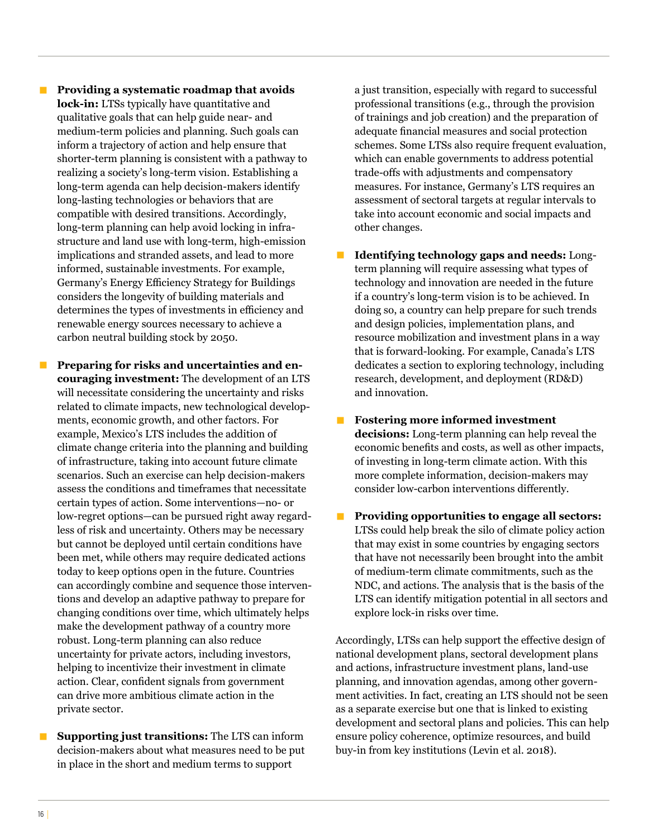**• Providing a systematic roadmap that avoids lock-in:** LTSs typically have quantitative and qualitative goals that can help guide near- and medium-term policies and planning. Such goals can inform a trajectory of action and help ensure that shorter-term planning is consistent with a pathway to realizing a society's long-term vision. Establishing a long-term agenda can help decision-makers identify long-lasting technologies or behaviors that are compatible with desired transitions. Accordingly, long-term planning can help avoid locking in infrastructure and land use with long-term, high-emission implications and stranded assets, and lead to more informed, sustainable investments. For example, Germany's Energy Efficiency Strategy for Buildings considers the longevity of building materials and determines the types of investments in efficiency and renewable energy sources necessary to achieve a carbon neutral building stock by 2050.

Preparing for risks and uncertainties and en**couraging investment:** The development of an LTS will necessitate considering the uncertainty and risks related to climate impacts, new technological developments, economic growth, and other factors. For example, Mexico's LTS includes the addition of climate change criteria into the planning and building of infrastructure, taking into account future climate scenarios. Such an exercise can help decision-makers assess the conditions and timeframes that necessitate certain types of action. Some interventions—no- or low-regret options—can be pursued right away regardless of risk and uncertainty. Others may be necessary but cannot be deployed until certain conditions have been met, while others may require dedicated actions today to keep options open in the future. Countries can accordingly combine and sequence those interventions and develop an adaptive pathway to prepare for changing conditions over time, which ultimately helps make the development pathway of a country more robust. Long-term planning can also reduce uncertainty for private actors, including investors, helping to incentivize their investment in climate action. Clear, confident signals from government can drive more ambitious climate action in the private sector.

**E** Supporting just transitions: The LTS can inform decision-makers about what measures need to be put in place in the short and medium terms to support

a just transition, especially with regard to successful professional transitions (e.g., through the provision of trainings and job creation) and the preparation of adequate financial measures and social protection schemes. Some LTSs also require frequent evaluation, which can enable governments to address potential trade-offs with adjustments and compensatory measures. For instance, Germany's LTS requires an assessment of sectoral targets at regular intervals to take into account economic and social impacts and other changes.

- **Identifying technology gaps and needs:** Longterm planning will require assessing what types of technology and innovation are needed in the future if a country's long-term vision is to be achieved. In doing so, a country can help prepare for such trends and design policies, implementation plans, and resource mobilization and investment plans in a way that is forward-looking. For example, Canada's LTS dedicates a section to exploring technology, including research, development, and deployment (RD&D) and innovation.
- **■ Fostering more informed investment decisions:** Long-term planning can help reveal the economic benefits and costs, as well as other impacts, of investing in long-term climate action. With this more complete information, decision-makers may consider low-carbon interventions differently.
- **■** Providing opportunities to engage all sectors: LTSs could help break the silo of climate policy action that may exist in some countries by engaging sectors that have not necessarily been brought into the ambit of medium-term climate commitments, such as the NDC, and actions. The analysis that is the basis of the LTS can identify mitigation potential in all sectors and explore lock-in risks over time.

Accordingly, LTSs can help support the effective design of national development plans, sectoral development plans and actions, infrastructure investment plans, land-use planning, and innovation agendas, among other government activities. In fact, creating an LTS should not be seen as a separate exercise but one that is linked to existing development and sectoral plans and policies. This can help ensure policy coherence, optimize resources, and build buy-in from key institutions (Levin et al. 2018).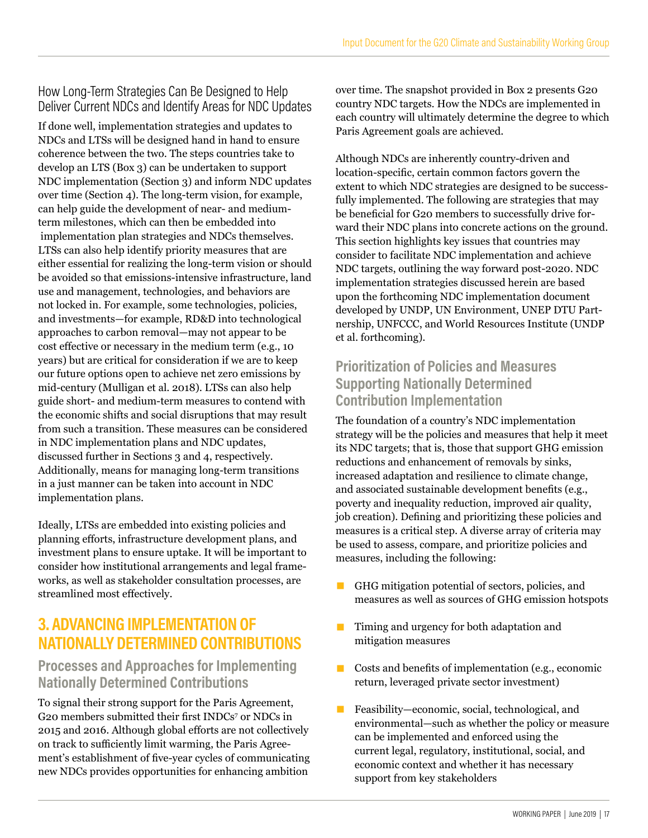### How Long-Term Strategies Can Be Designed to Help Deliver Current NDCs and Identify Areas for NDC Updates

If done well, implementation strategies and updates to NDCs and LTSs will be designed hand in hand to ensure coherence between the two. The steps countries take to develop an LTS (Box 3) can be undertaken to support NDC implementation (Section 3) and inform NDC updates over time (Section 4). The long-term vision, for example, can help guide the development of near- and mediumterm milestones, which can then be embedded into implementation plan strategies and NDCs themselves. LTSs can also help identify priority measures that are either essential for realizing the long-term vision or should be avoided so that emissions-intensive infrastructure, land use and management, technologies, and behaviors are not locked in. For example, some technologies, policies, and investments—for example, RD&D into technological approaches to carbon removal—may not appear to be cost effective or necessary in the medium term (e.g., 10 years) but are critical for consideration if we are to keep our future options open to achieve net zero emissions by mid-century (Mulligan et al. 2018). LTSs can also help guide short- and medium-term measures to contend with the economic shifts and social disruptions that may result from such a transition. These measures can be considered in NDC implementation plans and NDC updates, discussed further in Sections 3 and 4, respectively. Additionally, means for managing long-term transitions in a just manner can be taken into account in NDC implementation plans.

Ideally, LTSs are embedded into existing policies and planning efforts, infrastructure development plans, and investment plans to ensure uptake. It will be important to consider how institutional arrangements and legal frameworks, as well as stakeholder consultation processes, are streamlined most effectively.

# **3. ADVANCING IMPLEMENTATION OF NATIONALLY DETERMINED CONTRIBUTIONS**

### **Processes and Approaches for Implementing Nationally Determined Contributions**

To signal their strong support for the Paris Agreement, G20 members submitted their first INDCs7 or NDCs in 2015 and 2016. Although global efforts are not collectively on track to sufficiently limit warming, the Paris Agreement's establishment of five-year cycles of communicating new NDCs provides opportunities for enhancing ambition

over time. The snapshot provided in Box 2 presents G20 country NDC targets. How the NDCs are implemented in each country will ultimately determine the degree to which Paris Agreement goals are achieved.

Although NDCs are inherently country-driven and location-specific, certain common factors govern the extent to which NDC strategies are designed to be successfully implemented. The following are strategies that may be beneficial for G20 members to successfully drive forward their NDC plans into concrete actions on the ground. This section highlights key issues that countries may consider to facilitate NDC implementation and achieve NDC targets, outlining the way forward post-2020. NDC implementation strategies discussed herein are based upon the forthcoming NDC implementation document developed by UNDP, UN Environment, UNEP DTU Partnership, UNFCCC, and World Resources Institute (UNDP et al. forthcoming).

### **Prioritization of Policies and Measures Supporting Nationally Determined Contribution Implementation**

The foundation of a country's NDC implementation strategy will be the policies and measures that help it meet its NDC targets; that is, those that support GHG emission reductions and enhancement of removals by sinks, increased adaptation and resilience to climate change, and associated sustainable development benefits (e.g., poverty and inequality reduction, improved air quality, job creation). Defining and prioritizing these policies and measures is a critical step. A diverse array of criteria may be used to assess, compare, and prioritize policies and measures, including the following:

- GHG mitigation potential of sectors, policies, and measures as well as sources of GHG emission hotspots
- Timing and urgency for both adaptation and mitigation measures
- Costs and benefits of implementation (e.g., economic return, leveraged private sector investment)
- Feasibility—economic, social, technological, and environmental—such as whether the policy or measure can be implemented and enforced using the current legal, regulatory, institutional, social, and economic context and whether it has necessary support from key stakeholders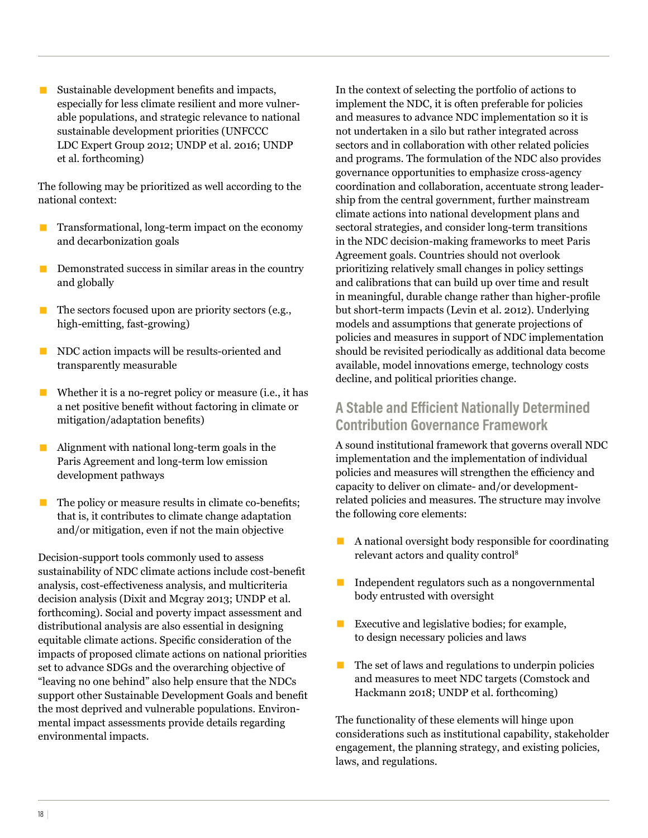■ Sustainable development benefits and impacts, especially for less climate resilient and more vulnerable populations, and strategic relevance to national sustainable development priorities (UNFCCC LDC Expert Group 2012; UNDP et al. 2016; UNDP et al. forthcoming)

The following may be prioritized as well according to the national context:

- Transformational, long-term impact on the economy and decarbonization goals
- **EXECUTE:** Demonstrated success in similar areas in the country and globally
- $\blacksquare$  The sectors focused upon are priority sectors (e.g., high-emitting, fast-growing)
- NDC action impacts will be results-oriented and transparently measurable
- $\blacksquare$  Whether it is a no-regret policy or measure (i.e., it has a net positive benefit without factoring in climate or mitigation/adaptation benefits)
- $\blacksquare$  Alignment with national long-term goals in the Paris Agreement and long-term low emission development pathways
- The policy or measure results in climate co-benefits; that is, it contributes to climate change adaptation and/or mitigation, even if not the main objective

Decision-support tools commonly used to assess sustainability of NDC climate actions include cost-benefit analysis, cost-effectiveness analysis, and multicriteria decision analysis (Dixit and Mcgray 2013; UNDP et al. forthcoming). Social and poverty impact assessment and distributional analysis are also essential in designing equitable climate actions. Specific consideration of the impacts of proposed climate actions on national priorities set to advance SDGs and the overarching objective of "leaving no one behind" also help ensure that the NDCs support other Sustainable Development Goals and benefit the most deprived and vulnerable populations. Environmental impact assessments provide details regarding environmental impacts.

In the context of selecting the portfolio of actions to implement the NDC, it is often preferable for policies and measures to advance NDC implementation so it is not undertaken in a silo but rather integrated across sectors and in collaboration with other related policies and programs. The formulation of the NDC also provides governance opportunities to emphasize cross-agency coordination and collaboration, accentuate strong leadership from the central government, further mainstream climate actions into national development plans and sectoral strategies, and consider long-term transitions in the NDC decision-making frameworks to meet Paris Agreement goals. Countries should not overlook prioritizing relatively small changes in policy settings and calibrations that can build up over time and result in meaningful, durable change rather than higher-profile but short-term impacts (Levin et al. 2012). Underlying models and assumptions that generate projections of policies and measures in support of NDC implementation should be revisited periodically as additional data become available, model innovations emerge, technology costs decline, and political priorities change.

### **A Stable and Efficient Nationally Determined Contribution Governance Framework**

A sound institutional framework that governs overall NDC implementation and the implementation of individual policies and measures will strengthen the efficiency and capacity to deliver on climate- and/or developmentrelated policies and measures. The structure may involve the following core elements:

- $\blacksquare$  A national oversight body responsible for coordinating relevant actors and quality control8
- $\blacksquare$  Independent regulators such as a nongovernmental body entrusted with oversight
- $\blacksquare$  Executive and legislative bodies; for example, to design necessary policies and laws
- $\blacksquare$  The set of laws and regulations to underpin policies and measures to meet NDC targets (Comstock and Hackmann 2018; UNDP et al. forthcoming)

The functionality of these elements will hinge upon considerations such as institutional capability, stakeholder engagement, the planning strategy, and existing policies, laws, and regulations.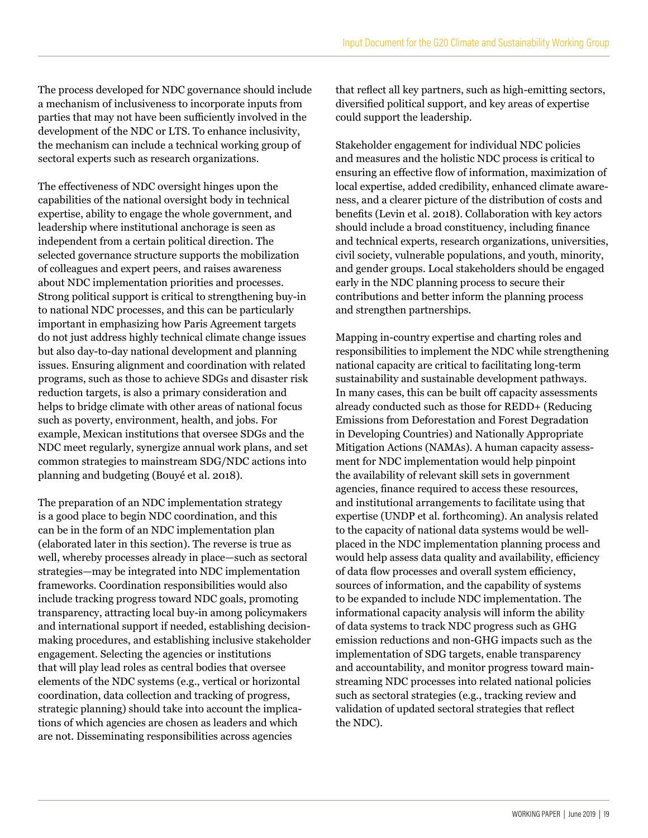The process developed for NDC governance should include a mechanism of inclusiveness to incorporate inputs from parties that may not have been sufficiently involved in the development of the NDC or LTS. To enhance inclusivity, the mechanism can include a technical working group of sectoral experts such as research organizations.

The effectiveness of NDC oversight hinges upon the capabilities of the national oversight body in technical expertise, ability to engage the whole government, and leadership where institutional anchorage is seen as independent from a certain political direction. The selected governance structure supports the mobilization of colleagues and expert peers, and raises awareness about NDC implementation priorities and processes. Strong political support is critical to strengthening buy-in to national NDC processes, and this can be particularly important in emphasizing how Paris Agreement targets do not just address highly technical climate change issues but also day-to-day national development and planning issues. Ensuring alignment and coordination with related programs, such as those to achieve SDGs and disaster risk reduction targets, is also a primary consideration and helps to bridge climate with other areas of national focus such as poverty, environment, health, and jobs. For example, Mexican institutions that oversee SDGs and the NDC meet regularly, synergize annual work plans, and set common strategies to mainstream SDG/NDC actions into planning and budgeting (Bouyé et al. 2018).

The preparation of an NDC implementation strategy is a good place to begin NDC coordination, and this can be in the form of an NDC implementation plan (elaborated later in this section). The reverse is true as well, whereby processes already in place—such as sectoral strategies—may be integrated into NDC implementation frameworks. Coordination responsibilities would also include tracking progress toward NDC goals, promoting transparency, attracting local buy-in among policymakers and international support if needed, establishing decisionmaking procedures, and establishing inclusive stakeholder engagement. Selecting the agencies or institutions that will play lead roles as central bodies that oversee elements of the NDC systems (e.g., vertical or horizontal coordination, data collection and tracking of progress, strategic planning) should take into account the implications of which agencies are chosen as leaders and which are not. Disseminating responsibilities across agencies

that reflect all key partners, such as high-emitting sectors, diversified political support, and key areas of expertise could support the leadership.

Stakeholder engagement for individual NDC policies and measures and the holistic NDC process is critical to ensuring an effective flow of information, maximization of local expertise, added credibility, enhanced climate awareness, and a clearer picture of the distribution of costs and benefits (Levin et al. 2018). Collaboration with key actors should include a broad constituency, including finance and technical experts, research organizations, universities, civil society, vulnerable populations, and youth, minority, and gender groups. Local stakeholders should be engaged early in the NDC planning process to secure their contributions and better inform the planning process and strengthen partnerships.

Mapping in-country expertise and charting roles and responsibilities to implement the NDC while strengthening national capacity are critical to facilitating long-term sustainability and sustainable development pathways. In many cases, this can be built off capacity assessments already conducted such as those for REDD+ (Reducing Emissions from Deforestation and Forest Degradation in Developing Countries) and Nationally Appropriate Mitigation Actions (NAMAs). A human capacity assessment for NDC implementation would help pinpoint the availability of relevant skill sets in government agencies, finance required to access these resources, and institutional arrangements to facilitate using that expertise (UNDP et al. forthcoming). An analysis related to the capacity of national data systems would be wellplaced in the NDC implementation planning process and would help assess data quality and availability, efficiency of data flow processes and overall system efficiency, sources of information, and the capability of systems to be expanded to include NDC implementation. The informational capacity analysis will inform the ability of data systems to track NDC progress such as GHG emission reductions and non-GHG impacts such as the implementation of SDG targets, enable transparency and accountability, and monitor progress toward mainstreaming NDC processes into related national policies such as sectoral strategies (e.g., tracking review and validation of updated sectoral strategies that reflect the NDC).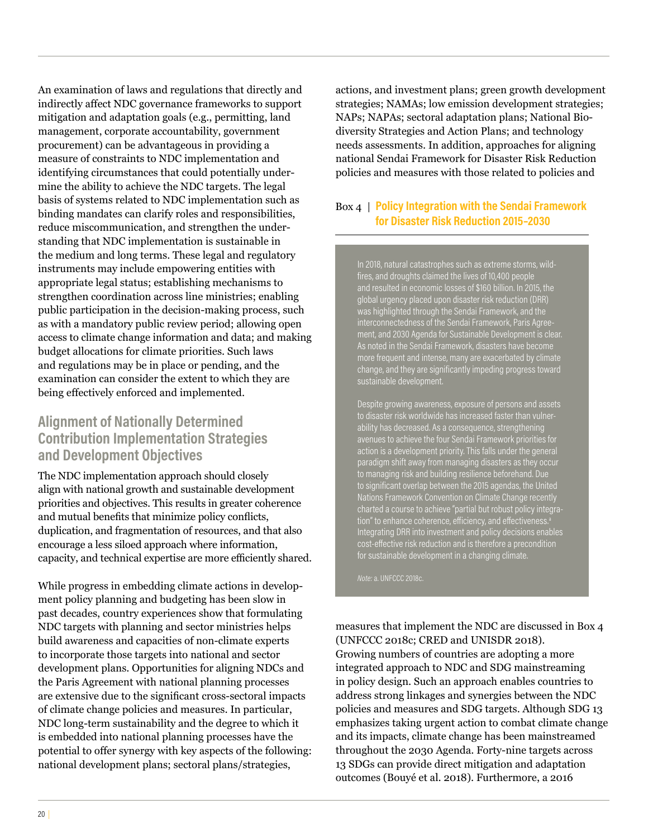An examination of laws and regulations that directly and indirectly affect NDC governance frameworks to support mitigation and adaptation goals (e.g., permitting, land management, corporate accountability, government procurement) can be advantageous in providing a measure of constraints to NDC implementation and identifying circumstances that could potentially undermine the ability to achieve the NDC targets. The legal basis of systems related to NDC implementation such as binding mandates can clarify roles and responsibilities, reduce miscommunication, and strengthen the understanding that NDC implementation is sustainable in the medium and long terms. These legal and regulatory instruments may include empowering entities with appropriate legal status; establishing mechanisms to strengthen coordination across line ministries; enabling public participation in the decision-making process, such as with a mandatory public review period; allowing open access to climate change information and data; and making budget allocations for climate priorities. Such laws and regulations may be in place or pending, and the examination can consider the extent to which they are being effectively enforced and implemented.

#### **Alignment of Nationally Determined Contribution Implementation Strategies and Development Objectives**

The NDC implementation approach should closely align with national growth and sustainable development priorities and objectives. This results in greater coherence and mutual benefits that minimize policy conflicts, duplication, and fragmentation of resources, and that also encourage a less siloed approach where information, capacity, and technical expertise are more efficiently shared.

While progress in embedding climate actions in development policy planning and budgeting has been slow in past decades, country experiences show that formulating NDC targets with planning and sector ministries helps build awareness and capacities of non-climate experts to incorporate those targets into national and sector development plans. Opportunities for aligning NDCs and the Paris Agreement with national planning processes are extensive due to the significant cross-sectoral impacts of climate change policies and measures. In particular, NDC long-term sustainability and the degree to which it is embedded into national planning processes have the potential to offer synergy with key aspects of the following: national development plans; sectoral plans/strategies,

actions, and investment plans; green growth development strategies; NAMAs; low emission development strategies; NAPs; NAPAs; sectoral adaptation plans; National Biodiversity Strategies and Action Plans; and technology needs assessments. In addition, approaches for aligning national Sendai Framework for Disaster Risk Reduction policies and measures with those related to policies and

#### Box 4 | **Policy Integration with the Sendai Framework for Disaster Risk Reduction 2015–2030**

In 2018, natural catastrophes such as extreme storms, wildfires, and droughts claimed the lives of 10,400 people and resulted in economic losses of \$160 billion. In 2015, the global urgency placed upon disaster risk reduction (DRR)  $\tilde{\tilde{\mathsf{w}}}$ as highlighted through the Sendai Framework, and the  $\tilde{\mathsf{w}}$ interconnectedness of the Sendai Framework, Paris Agreement, and 2030 Agenda for Sustainable Development is clear. As noted in the Sendai Framework, disasters have become more frequent and intense, many are exacerbated by climate change, and they are significantly impeding progress toward sustainable development.

Despite growing awareness, exposure of persons and assets to disaster risk worldwide has increased faster than vulnerability has decreased. As a consequence, strengthening avenues to achieve the four Sendai Framework priorities for action is a development priority. This falls under the general paradigm shift away from managing disasters as they occur to managing risk and building resilience beforehand. Due to significant overlap between the 2015 agendas, the United Nations Framework Convention on Climate Change recently charted a course to achieve "partial but robust policy integra-Integrating DRR into investment and policy decisions enables cost-effective risk reduction and is therefore a precondition for sustainable development in a changing climate.

*Note:* a. UNFCCC 2018c.

measures that implement the NDC are discussed in Box 4 (UNFCCC 2018c; CRED and UNISDR 2018). Growing numbers of countries are adopting a more integrated approach to NDC and SDG mainstreaming in policy design. Such an approach enables countries to address strong linkages and synergies between the NDC policies and measures and SDG targets. Although SDG 13 emphasizes taking urgent action to combat climate change and its impacts, climate change has been mainstreamed throughout the 2030 Agenda. Forty-nine targets across 13 SDGs can provide direct mitigation and adaptation outcomes (Bouyé et al. 2018). Furthermore, a 2016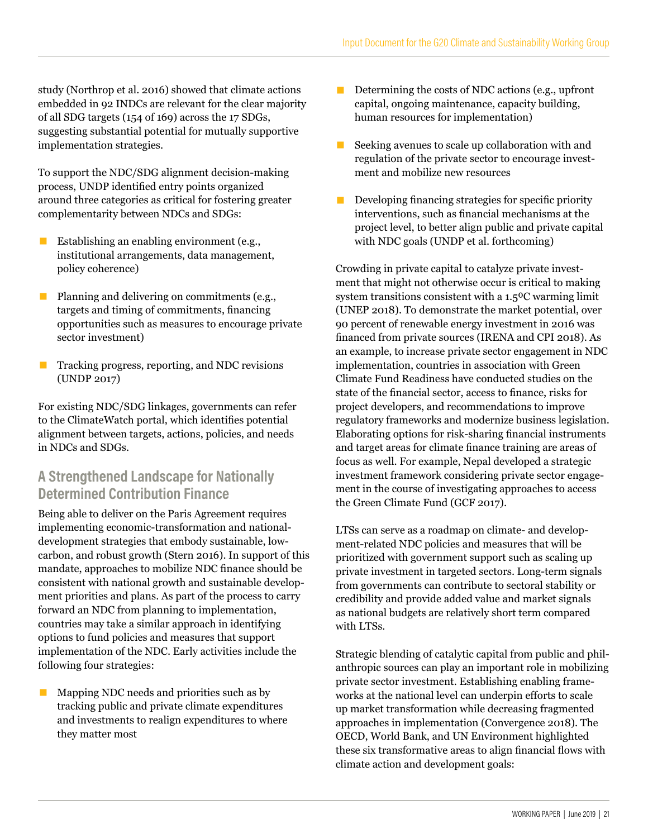study (Northrop et al. 2016) showed that climate actions embedded in 92 INDCs are relevant for the clear majority of all SDG targets (154 of 169) across the 17 SDGs, suggesting substantial potential for mutually supportive implementation strategies.

To support the NDC/SDG alignment decision-making process, UNDP identified entry points organized around three categories as critical for fostering greater complementarity between NDCs and SDGs:

- Establishing an enabling environment (e.g., institutional arrangements, data management, policy coherence)
- Planning and delivering on commitments (e.g., targets and timing of commitments, financing opportunities such as measures to encourage private sector investment)
- Tracking progress, reporting, and NDC revisions (UNDP 2017)

For existing NDC/SDG linkages, governments can refer to the ClimateWatch portal, which identifies potential alignment between targets, actions, policies, and needs in NDCs and SDGs.

### **A Strengthened Landscape for Nationally Determined Contribution Finance**

Being able to deliver on the Paris Agreement requires implementing economic-transformation and nationaldevelopment strategies that embody sustainable, lowcarbon, and robust growth (Stern 2016). In support of this mandate, approaches to mobilize NDC finance should be consistent with national growth and sustainable development priorities and plans. As part of the process to carry forward an NDC from planning to implementation, countries may take a similar approach in identifying options to fund policies and measures that support implementation of the NDC. Early activities include the following four strategies:

Mapping NDC needs and priorities such as by tracking public and private climate expenditures and investments to realign expenditures to where they matter most

- Determining the costs of NDC actions (e.g., upfront capital, ongoing maintenance, capacity building, human resources for implementation)
- $\blacksquare$  Seeking avenues to scale up collaboration with and regulation of the private sector to encourage investment and mobilize new resources
- $\blacksquare$  Developing financing strategies for specific priority interventions, such as financial mechanisms at the project level, to better align public and private capital with NDC goals (UNDP et al. forthcoming)

Crowding in private capital to catalyze private investment that might not otherwise occur is critical to making system transitions consistent with a 1.5<sup>o</sup>C warming limit (UNEP 2018). To demonstrate the market potential, over 90 percent of renewable energy investment in 2016 was financed from private sources (IRENA and CPI 2018). As an example, to increase private sector engagement in NDC implementation, countries in association with Green Climate Fund Readiness have conducted studies on the state of the financial sector, access to finance, risks for project developers, and recommendations to improve regulatory frameworks and modernize business legislation. Elaborating options for risk-sharing financial instruments and target areas for climate finance training are areas of focus as well. For example, Nepal developed a strategic investment framework considering private sector engagement in the course of investigating approaches to access the Green Climate Fund (GCF 2017).

LTSs can serve as a roadmap on climate- and development-related NDC policies and measures that will be prioritized with government support such as scaling up private investment in targeted sectors. Long-term signals from governments can contribute to sectoral stability or credibility and provide added value and market signals as national budgets are relatively short term compared with LTSs.

Strategic blending of catalytic capital from public and philanthropic sources can play an important role in mobilizing private sector investment. Establishing enabling frameworks at the national level can underpin efforts to scale up market transformation while decreasing fragmented approaches in implementation (Convergence 2018). The OECD, World Bank, and UN Environment highlighted these six transformative areas to align financial flows with climate action and development goals: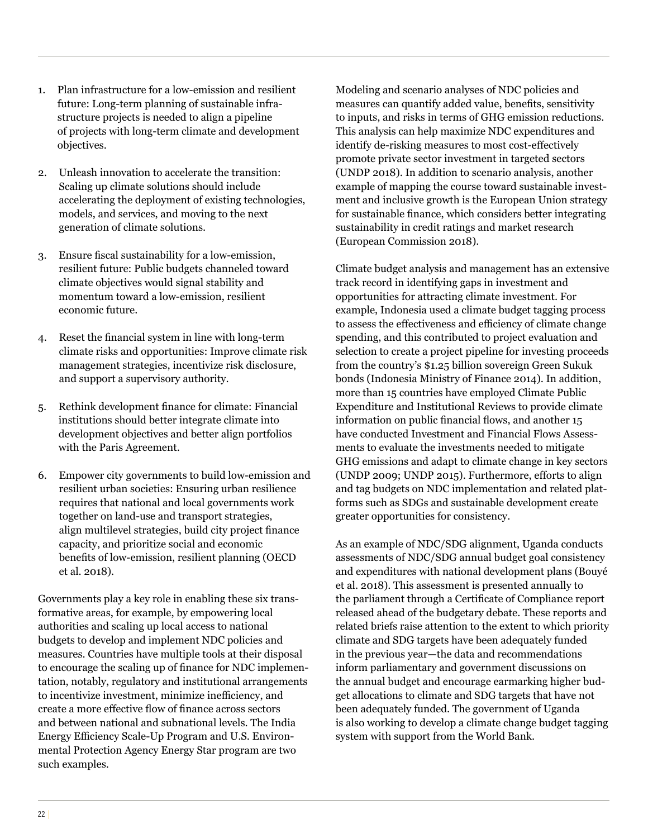- 1. Plan infrastructure for a low-emission and resilient future: Long-term planning of sustainable infrastructure projects is needed to align a pipeline of projects with long-term climate and development objectives.
- 2. Unleash innovation to accelerate the transition: Scaling up climate solutions should include accelerating the deployment of existing technologies, models, and services, and moving to the next generation of climate solutions.
- 3. Ensure fiscal sustainability for a low-emission, resilient future: Public budgets channeled toward climate objectives would signal stability and momentum toward a low-emission, resilient economic future.
- 4. Reset the financial system in line with long-term climate risks and opportunities: Improve climate risk management strategies, incentivize risk disclosure, and support a supervisory authority.
- 5. Rethink development finance for climate: Financial institutions should better integrate climate into development objectives and better align portfolios with the Paris Agreement.
- 6. Empower city governments to build low-emission and resilient urban societies: Ensuring urban resilience requires that national and local governments work together on land-use and transport strategies, align multilevel strategies, build city project finance capacity, and prioritize social and economic benefits of low-emission, resilient planning (OECD et al. 2018).

Governments play a key role in enabling these six transformative areas, for example, by empowering local authorities and scaling up local access to national budgets to develop and implement NDC policies and measures. Countries have multiple tools at their disposal to encourage the scaling up of finance for NDC implementation, notably, regulatory and institutional arrangements to incentivize investment, minimize inefficiency, and create a more effective flow of finance across sectors and between national and subnational levels. The India Energy Efficiency Scale-Up Program and U.S. Environmental Protection Agency Energy Star program are two such examples.

Modeling and scenario analyses of NDC policies and measures can quantify added value, benefits, sensitivity to inputs, and risks in terms of GHG emission reductions. This analysis can help maximize NDC expenditures and identify de-risking measures to most cost-effectively promote private sector investment in targeted sectors (UNDP 2018). In addition to scenario analysis, another example of mapping the course toward sustainable investment and inclusive growth is the European Union strategy for sustainable finance, which considers better integrating sustainability in credit ratings and market research (European Commission 2018).

Climate budget analysis and management has an extensive track record in identifying gaps in investment and opportunities for attracting climate investment. For example, Indonesia used a climate budget tagging process to assess the effectiveness and efficiency of climate change spending, and this contributed to project evaluation and selection to create a project pipeline for investing proceeds from the country's \$1.25 billion sovereign Green Sukuk bonds (Indonesia Ministry of Finance 2014). In addition, more than 15 countries have employed Climate Public Expenditure and Institutional Reviews to provide climate information on public financial flows, and another 15 have conducted Investment and Financial Flows Assessments to evaluate the investments needed to mitigate GHG emissions and adapt to climate change in key sectors (UNDP 2009; UNDP 2015). Furthermore, efforts to align and tag budgets on NDC implementation and related platforms such as SDGs and sustainable development create greater opportunities for consistency.

As an example of NDC/SDG alignment, Uganda conducts assessments of NDC/SDG annual budget goal consistency and expenditures with national development plans (Bouyé et al. 2018). This assessment is presented annually to the parliament through a Certificate of Compliance report released ahead of the budgetary debate. These reports and related briefs raise attention to the extent to which priority climate and SDG targets have been adequately funded in the previous year—the data and recommendations inform parliamentary and government discussions on the annual budget and encourage earmarking higher budget allocations to climate and SDG targets that have not been adequately funded. The government of Uganda is also working to develop a climate change budget tagging system with support from the World Bank.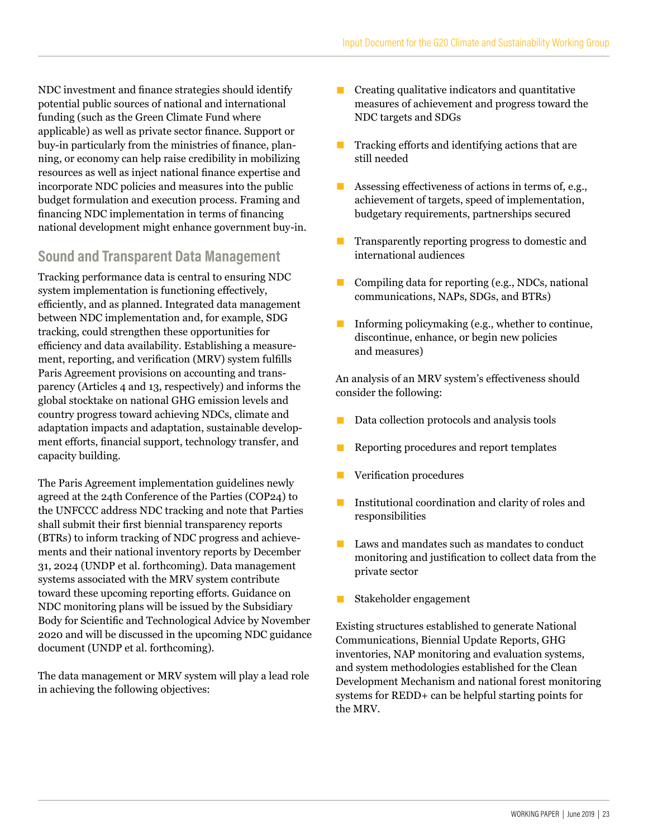NDC investment and finance strategies should identify potential public sources of national and international funding (such as the Green Climate Fund where applicable) as well as private sector finance. Support or buy-in particularly from the ministries of finance, planning, or economy can help raise credibility in mobilizing resources as well as inject national finance expertise and incorporate NDC policies and measures into the public budget formulation and execution process. Framing and financing NDC implementation in terms of financing national development might enhance government buy-in.

#### **Sound and Transparent Data Management**

Tracking performance data is central to ensuring NDC system implementation is functioning effectively, efficiently, and as planned. Integrated data management between NDC implementation and, for example, SDG tracking, could strengthen these opportunities for efficiency and data availability. Establishing a measurement, reporting, and verification (MRV) system fulfills Paris Agreement provisions on accounting and transparency (Articles 4 and 13, respectively) and informs the global stocktake on national GHG emission levels and country progress toward achieving NDCs, climate and adaptation impacts and adaptation, sustainable development efforts, financial support, technology transfer, and capacity building.

The Paris Agreement implementation guidelines newly agreed at the 24th Conference of the Parties (COP24) to the UNFCCC address NDC tracking and note that Parties shall submit their first biennial transparency reports (BTRs) to inform tracking of NDC progress and achievements and their national inventory reports by December 31, 2024 (UNDP et al. forthcoming). Data management systems associated with the MRV system contribute toward these upcoming reporting efforts. Guidance on NDC monitoring plans will be issued by the Subsidiary Body for Scientific and Technological Advice by November 2020 and will be discussed in the upcoming NDC guidance document (UNDP et al. forthcoming).

The data management or MRV system will play a lead role in achieving the following objectives:

- $\blacksquare$  Creating qualitative indicators and quantitative measures of achievement and progress toward the NDC targets and SDGs
- $\blacksquare$  Tracking efforts and identifying actions that are still needed
- **EXECUTE:** Assessing effectiveness of actions in terms of, e.g., achievement of targets, speed of implementation, budgetary requirements, partnerships secured
- Transparently reporting progress to domestic and international audiences
- Compiling data for reporting (e.g., NDCs, national communications, NAPs, SDGs, and BTRs)
- **Informing policymaking (e.g., whether to continue,** discontinue, enhance, or begin new policies and measures)

An analysis of an MRV system's effectiveness should consider the following:

- Data collection protocols and analysis tools
- $\blacksquare$  <br> Reporting procedures and report templates
- **EXECUTE:** Verification procedures
- Institutional coordination and clarity of roles and responsibilities
- Laws and mandates such as mandates to conduct monitoring and justification to collect data from the private sector
- Stakeholder engagement

Existing structures established to generate National Communications, Biennial Update Reports, GHG inventories, NAP monitoring and evaluation systems, and system methodologies established for the Clean Development Mechanism and national forest monitoring systems for REDD+ can be helpful starting points for the MRV.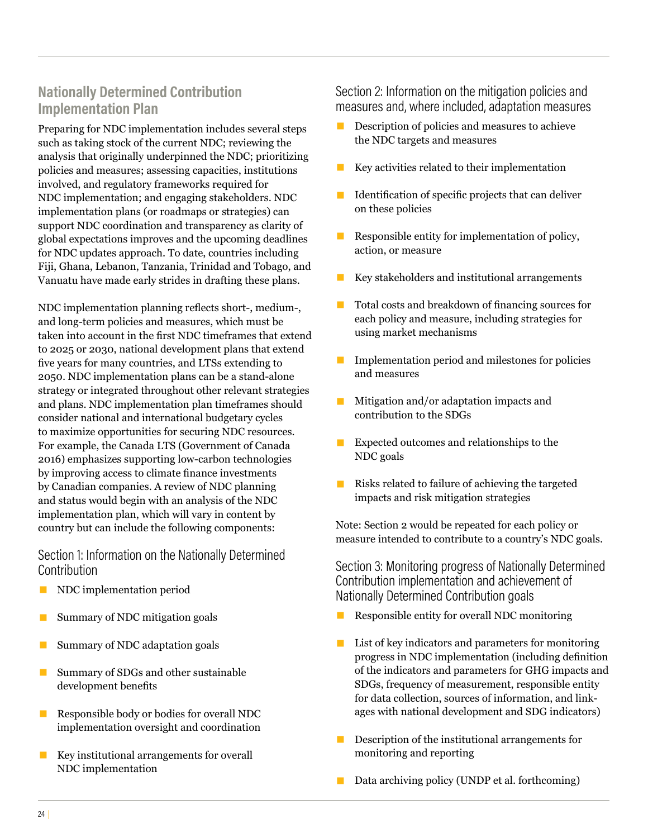### **Nationally Determined Contribution Implementation Plan**

Preparing for NDC implementation includes several steps such as taking stock of the current NDC; reviewing the analysis that originally underpinned the NDC; prioritizing policies and measures; assessing capacities, institutions involved, and regulatory frameworks required for NDC implementation; and engaging stakeholders. NDC implementation plans (or roadmaps or strategies) can support NDC coordination and transparency as clarity of global expectations improves and the upcoming deadlines for NDC updates approach. To date, countries including Fiji, Ghana, Lebanon, Tanzania, Trinidad and Tobago, and Vanuatu have made early strides in drafting these plans.

NDC implementation planning reflects short-, medium-, and long-term policies and measures, which must be taken into account in the first NDC timeframes that extend to 2025 or 2030, national development plans that extend five years for many countries, and LTSs extending to 2050. NDC implementation plans can be a stand-alone strategy or integrated throughout other relevant strategies and plans. NDC implementation plan timeframes should consider national and international budgetary cycles to maximize opportunities for securing NDC resources. For example, the Canada LTS (Government of Canada 2016) emphasizes supporting low-carbon technologies by improving access to climate finance investments by Canadian companies. A review of NDC planning and status would begin with an analysis of the NDC implementation plan, which will vary in content by country but can include the following components:

Section 1: Information on the Nationally Determined **Contribution** 

- NDC implementation period
- Summary of NDC mitigation goals
- Summary of NDC adaptation goals
- Summary of SDGs and other sustainable development benefits
- Responsible body or bodies for overall NDC implementation oversight and coordination
- Key institutional arrangements for overall NDC implementation

Section 2: Information on the mitigation policies and measures and, where included, adaptation measures

- **EXECUTE:** Description of policies and measures to achieve the NDC targets and measures
- Key activities related to their implementation
- $\blacksquare$  Identification of specific projects that can deliver on these policies
- $\blacksquare$  Responsible entity for implementation of policy, action, or measure
- Key stakeholders and institutional arrangements
- Total costs and breakdown of financing sources for each policy and measure, including strategies for using market mechanisms
- Implementation period and milestones for policies and measures
- Mitigation and/or adaptation impacts and contribution to the SDGs
- Expected outcomes and relationships to the NDC goals
- Risks related to failure of achieving the targeted impacts and risk mitigation strategies

Note: Section 2 would be repeated for each policy or measure intended to contribute to a country's NDC goals.

Section 3: Monitoring progress of Nationally Determined Contribution implementation and achievement of Nationally Determined Contribution goals

- Responsible entity for overall NDC monitoring
- List of key indicators and parameters for monitoring progress in NDC implementation (including definition of the indicators and parameters for GHG impacts and SDGs, frequency of measurement, responsible entity for data collection, sources of information, and linkages with national development and SDG indicators)
- **E** Description of the institutional arrangements for monitoring and reporting
- Data archiving policy (UNDP et al. forthcoming)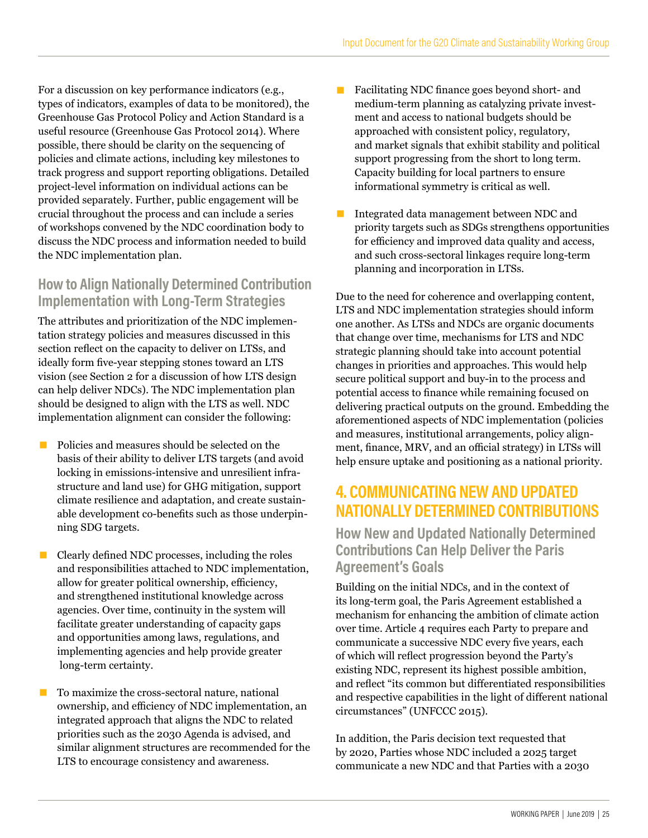For a discussion on key performance indicators (e.g., types of indicators, examples of data to be monitored), the Greenhouse Gas Protocol Policy and Action Standard is a useful resource (Greenhouse Gas Protocol 2014). Where possible, there should be clarity on the sequencing of policies and climate actions, including key milestones to track progress and support reporting obligations. Detailed project-level information on individual actions can be provided separately. Further, public engagement will be crucial throughout the process and can include a series of workshops convened by the NDC coordination body to discuss the NDC process and information needed to build the NDC implementation plan.

### **How to Align Nationally Determined Contribution Implementation with Long-Term Strategies**

The attributes and prioritization of the NDC implementation strategy policies and measures discussed in this section reflect on the capacity to deliver on LTSs, and ideally form five-year stepping stones toward an LTS vision (see Section 2 for a discussion of how LTS design can help deliver NDCs). The NDC implementation plan should be designed to align with the LTS as well. NDC implementation alignment can consider the following:

- **E** Policies and measures should be selected on the basis of their ability to deliver LTS targets (and avoid locking in emissions-intensive and unresilient infrastructure and land use) for GHG mitigation, support climate resilience and adaptation, and create sustainable development co-benefits such as those underpinning SDG targets.
- Clearly defined NDC processes, including the roles and responsibilities attached to NDC implementation, allow for greater political ownership, efficiency, and strengthened institutional knowledge across agencies. Over time, continuity in the system will facilitate greater understanding of capacity gaps and opportunities among laws, regulations, and implementing agencies and help provide greater long-term certainty.

■ To maximize the cross-sectoral nature, national ownership, and efficiency of NDC implementation, an integrated approach that aligns the NDC to related priorities such as the 2030 Agenda is advised, and similar alignment structures are recommended for the LTS to encourage consistency and awareness.

- Facilitating NDC finance goes beyond short- and medium-term planning as catalyzing private investment and access to national budgets should be approached with consistent policy, regulatory, and market signals that exhibit stability and political support progressing from the short to long term. Capacity building for local partners to ensure informational symmetry is critical as well.
- Integrated data management between NDC and priority targets such as SDGs strengthens opportunities for efficiency and improved data quality and access, and such cross-sectoral linkages require long-term planning and incorporation in LTSs.

Due to the need for coherence and overlapping content, LTS and NDC implementation strategies should inform one another. As LTSs and NDCs are organic documents that change over time, mechanisms for LTS and NDC strategic planning should take into account potential changes in priorities and approaches. This would help secure political support and buy-in to the process and potential access to finance while remaining focused on delivering practical outputs on the ground. Embedding the aforementioned aspects of NDC implementation (policies and measures, institutional arrangements, policy alignment, finance, MRV, and an official strategy) in LTSs will help ensure uptake and positioning as a national priority.

# **4. COMMUNICATING NEW AND UPDATED NATIONALLY DETERMINED CONTRIBUTIONS**

**How New and Updated Nationally Determined Contributions Can Help Deliver the Paris Agreement's Goals**

Building on the initial NDCs, and in the context of its long-term goal, the Paris Agreement established a mechanism for enhancing the ambition of climate action over time. Article 4 requires each Party to prepare and communicate a successive NDC every five years, each of which will reflect progression beyond the Party's existing NDC, represent its highest possible ambition, and reflect "its common but differentiated responsibilities and respective capabilities in the light of different national circumstances" (UNFCCC 2015).

In addition, the Paris decision text requested that by 2020, Parties whose NDC included a 2025 target communicate a new NDC and that Parties with a 2030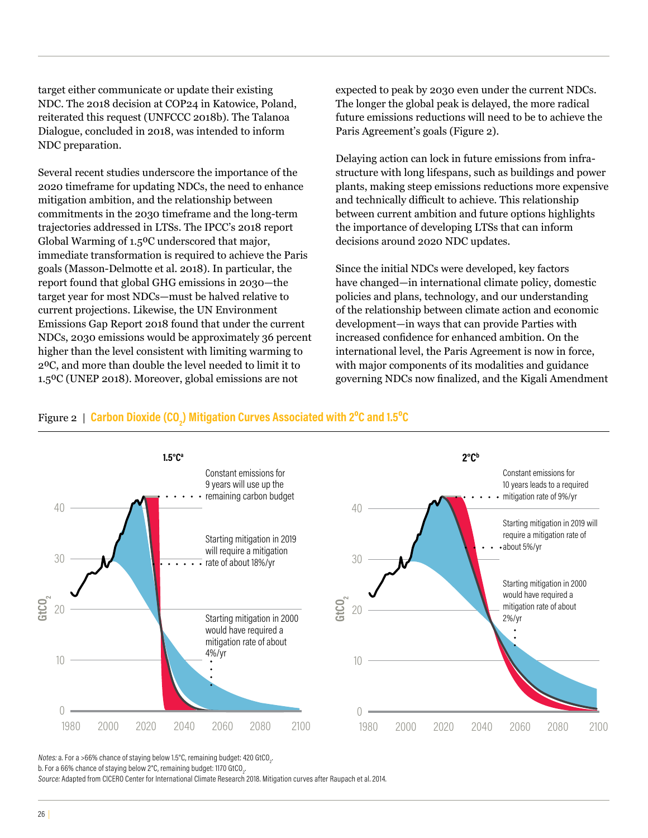target either communicate or update their existing NDC. The 2018 decision at COP24 in Katowice, Poland, reiterated this request (UNFCCC 2018b). The Talanoa Dialogue, concluded in 2018, was intended to inform NDC preparation.

Several recent studies underscore the importance of the 2020 timeframe for updating NDCs, the need to enhance mitigation ambition, and the relationship between commitments in the 2030 timeframe and the long-term trajectories addressed in LTSs. The IPCC's 2018 report Global Warming of 1.5<sup>o</sup>C underscored that major, immediate transformation is required to achieve the Paris goals (Masson-Delmotte et al. 2018). In particular, the report found that global GHG emissions in 2030—the target year for most NDCs—must be halved relative to current projections. Likewise, the UN Environment Emissions Gap Report 2018 found that under the current NDCs, 2030 emissions would be approximately 36 percent higher than the level consistent with limiting warming to 2⁰C, and more than double the level needed to limit it to 1.5⁰C (UNEP 2018). Moreover, global emissions are not

expected to peak by 2030 even under the current NDCs. The longer the global peak is delayed, the more radical future emissions reductions will need to be to achieve the Paris Agreement's goals (Figure 2).

Delaying action can lock in future emissions from infrastructure with long lifespans, such as buildings and power plants, making steep emissions reductions more expensive and technically difficult to achieve. This relationship between current ambition and future options highlights the importance of developing LTSs that can inform decisions around 2020 NDC updates.

Since the initial NDCs were developed, key factors have changed—in international climate policy, domestic policies and plans, technology, and our understanding of the relationship between climate action and economic development—in ways that can provide Parties with increased confidence for enhanced ambition. On the international level, the Paris Agreement is now in force, with major components of its modalities and guidance governing NDCs now finalized, and the Kigali Amendment

### Figure 2 | Carbon Dioxide (CO<sub>2</sub>) Mitigation Curves Associated with 2°C and 1.5°C



Notes: a. For a >66% chance of staying below 1.5°C, remaining budget: 420 GtCO $_{\textrm{\tiny{2}}}$ . b. For a 66% chance of staying below 2°C, remaining budget: 1170 GtCO $_{\textrm{\tiny{2}}}$ . Source: Adapted from CICERO Center for International Climate Research 2018. Mitigation curves after Raupach et al. 2014.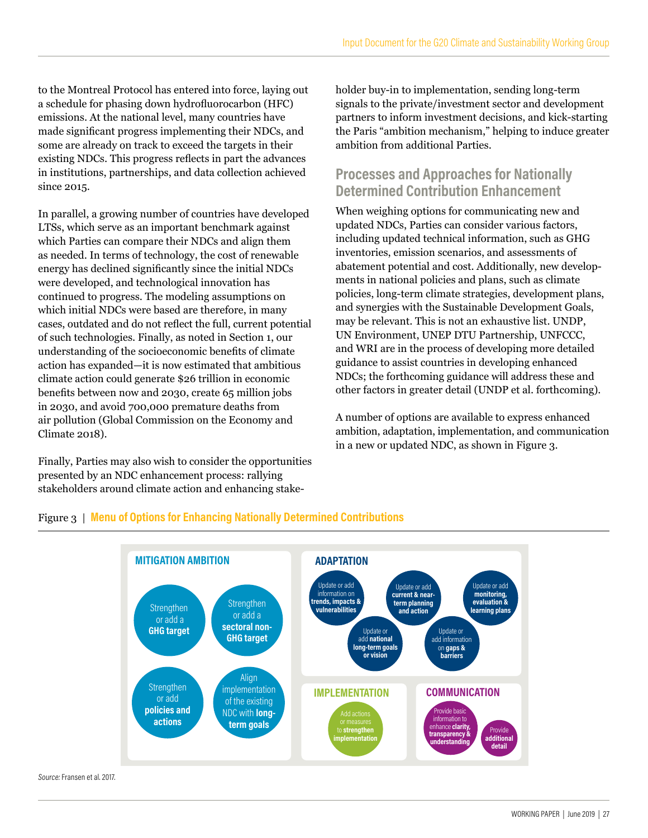to the Montreal Protocol has entered into force, laying out a schedule for phasing down hydrofluorocarbon (HFC) emissions. At the national level, many countries have made significant progress implementing their NDCs, and some are already on track to exceed the targets in their existing NDCs. This progress reflects in part the advances in institutions, partnerships, and data collection achieved since 2015.

In parallel, a growing number of countries have developed LTSs, which serve as an important benchmark against which Parties can compare their NDCs and align them as needed. In terms of technology, the cost of renewable energy has declined significantly since the initial NDCs were developed, and technological innovation has continued to progress. The modeling assumptions on which initial NDCs were based are therefore, in many cases, outdated and do not reflect the full, current potential of such technologies. Finally, as noted in Section 1, our understanding of the socioeconomic benefits of climate action has expanded—it is now estimated that ambitious climate action could generate \$26 trillion in economic benefits between now and 2030, create 65 million jobs in 2030, and avoid 700,000 premature deaths from air pollution (Global Commission on the Economy and Climate 2018).

Finally, Parties may also wish to consider the opportunities presented by an NDC enhancement process: rallying stakeholders around climate action and enhancing stakeholder buy-in to implementation, sending long-term signals to the private/investment sector and development partners to inform investment decisions, and kick-starting the Paris "ambition mechanism," helping to induce greater ambition from additional Parties.

### **Processes and Approaches for Nationally Determined Contribution Enhancement**

When weighing options for communicating new and updated NDCs, Parties can consider various factors, including updated technical information, such as GHG inventories, emission scenarios, and assessments of abatement potential and cost. Additionally, new developments in national policies and plans, such as climate policies, long-term climate strategies, development plans, and synergies with the Sustainable Development Goals, may be relevant. This is not an exhaustive list. UNDP, UN Environment, UNEP DTU Partnership, UNFCCC, and WRI are in the process of developing more detailed guidance to assist countries in developing enhanced NDCs; the forthcoming guidance will address these and other factors in greater detail (UNDP et al. forthcoming).

A number of options are available to express enhanced ambition, adaptation, implementation, and communication in a new or updated NDC, as shown in Figure 3.

#### Figure 3 | **Menu of Options for Enhancing Nationally Determined Contributions**



Source: Fransen et al. 2017.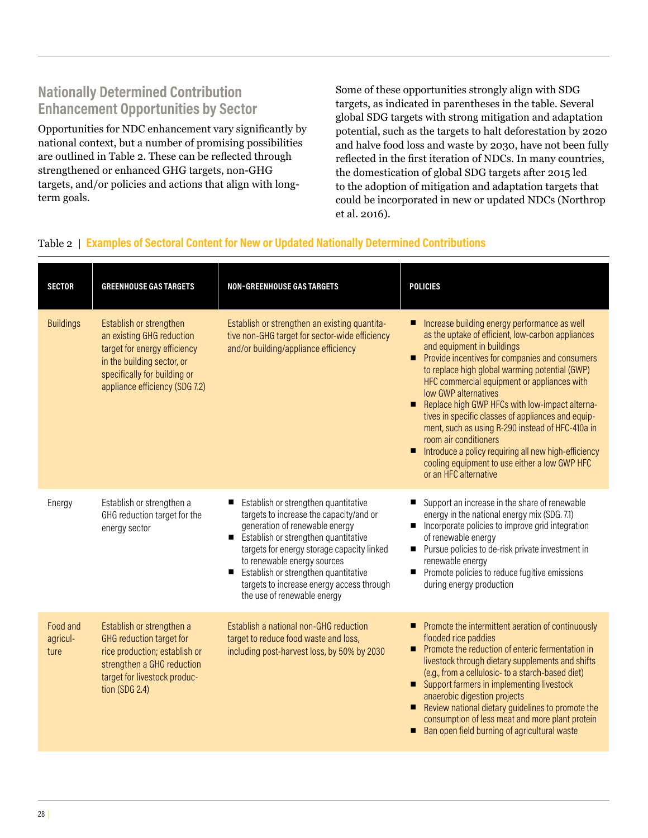### **Nationally Determined Contribution Enhancement Opportunities by Sector**

Opportunities for NDC enhancement vary significantly by national context, but a number of promising possibilities are outlined in Table 2. These can be reflected through strengthened or enhanced GHG targets, non-GHG targets, and/or policies and actions that align with longterm goals.

Some of these opportunities strongly align with SDG targets, as indicated in parentheses in the table. Several global SDG targets with strong mitigation and adaptation potential, such as the targets to halt deforestation by 2020 and halve food loss and waste by 2030, have not been fully reflected in the first iteration of NDCs. In many countries, the domestication of global SDG targets after 2015 led to the adoption of mitigation and adaptation targets that could be incorporated in new or updated NDCs (Northrop et al. 2016).

#### Table 2 | **Examples of Sectoral Content for New or Updated Nationally Determined Contributions**

| <b>SECTOR</b>                | <b>GREENHOUSE GAS TARGETS</b>                                                                                                                                                        | <b>NON-GREENHOUSE GAS TARGETS</b>                                                                                                                                                                                                                                                                                                                                                 | <b>POLICIES</b>                                                                                                                                                                                                                                                                                                                                                                                                                                                                                                                                                                                                                                  |
|------------------------------|--------------------------------------------------------------------------------------------------------------------------------------------------------------------------------------|-----------------------------------------------------------------------------------------------------------------------------------------------------------------------------------------------------------------------------------------------------------------------------------------------------------------------------------------------------------------------------------|--------------------------------------------------------------------------------------------------------------------------------------------------------------------------------------------------------------------------------------------------------------------------------------------------------------------------------------------------------------------------------------------------------------------------------------------------------------------------------------------------------------------------------------------------------------------------------------------------------------------------------------------------|
| <b>Buildings</b>             | Establish or strengthen<br>an existing GHG reduction<br>target for energy efficiency<br>in the building sector, or<br>specifically for building or<br>appliance efficiency (SDG 7.2) | Establish or strengthen an existing quantita-<br>tive non-GHG target for sector-wide efficiency<br>and/or building/appliance efficiency                                                                                                                                                                                                                                           | Increase building energy performance as well<br>as the uptake of efficient, low-carbon appliances<br>and equipment in buildings<br>Provide incentives for companies and consumers<br>п<br>to replace high global warming potential (GWP)<br>HFC commercial equipment or appliances with<br>low GWP alternatives<br>Replace high GWP HFCs with low-impact alterna-<br>п<br>tives in specific classes of appliances and equip-<br>ment, such as using R-290 instead of HFC-410a in<br>room air conditioners<br>Introduce a policy requiring all new high-efficiency<br>п<br>cooling equipment to use either a low GWP HFC<br>or an HFC alternative |
| Energy                       | Establish or strengthen a<br>GHG reduction target for the<br>energy sector                                                                                                           | Establish or strengthen quantitative<br>targets to increase the capacity/and or<br>generation of renewable energy<br>Establish or strengthen quantitative<br>$\blacksquare$<br>targets for energy storage capacity linked<br>to renewable energy sources<br>Establish or strengthen quantitative<br>■<br>targets to increase energy access through<br>the use of renewable energy | Support an increase in the share of renewable<br>energy in the national energy mix (SDG. 7.1)<br>Incorporate policies to improve grid integration<br>ш<br>of renewable energy<br>■ Pursue policies to de-risk private investment in<br>renewable energy<br>Promote policies to reduce fugitive emissions<br>П<br>during energy production                                                                                                                                                                                                                                                                                                        |
| Food and<br>agricul-<br>ture | Establish or strengthen a<br>GHG reduction target for<br>rice production; establish or<br>strengthen a GHG reduction<br>target for livestock produc-<br>tion (SDG 2.4)               | Establish a national non-GHG reduction<br>target to reduce food waste and loss,<br>including post-harvest loss, by 50% by 2030                                                                                                                                                                                                                                                    | ■ Promote the intermittent aeration of continuously<br>flooded rice paddies<br>Promote the reduction of enteric fermentation in<br>■<br>livestock through dietary supplements and shifts<br>(e.g., from a cellulosic- to a starch-based diet)<br>■ Support farmers in implementing livestock<br>anaerobic digestion projects<br>Review national dietary guidelines to promote the<br>consumption of less meat and more plant protein<br>Ban open field burning of agricultural waste<br>П                                                                                                                                                        |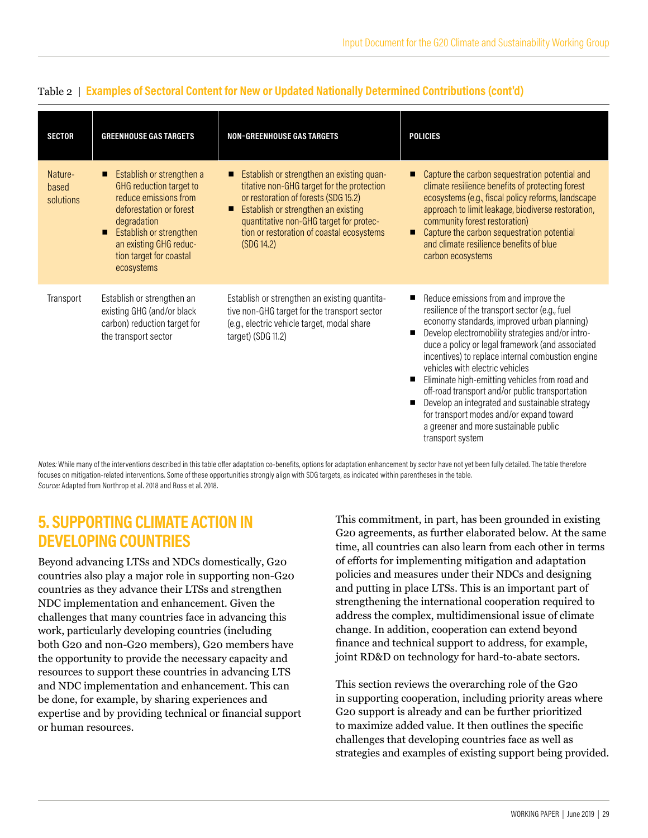| <b>SECTOR</b>                 | <b>GREENHOUSE GAS TARGETS</b>                                                                                                                                                                                                | <b>NON-GREENHOUSE GAS TARGETS</b>                                                                                                                                                                                                                                                      | <b>POLICIES</b>                                                                                                                                                                                                                                                                                                                                                                                                                                                                                                                                                                                        |
|-------------------------------|------------------------------------------------------------------------------------------------------------------------------------------------------------------------------------------------------------------------------|----------------------------------------------------------------------------------------------------------------------------------------------------------------------------------------------------------------------------------------------------------------------------------------|--------------------------------------------------------------------------------------------------------------------------------------------------------------------------------------------------------------------------------------------------------------------------------------------------------------------------------------------------------------------------------------------------------------------------------------------------------------------------------------------------------------------------------------------------------------------------------------------------------|
| Nature-<br>based<br>solutions | ■ Establish or strengthen a<br>GHG reduction target to<br>reduce emissions from<br>deforestation or forest<br>degradation<br>Establish or strengthen<br>п<br>an existing GHG reduc-<br>tion target for coastal<br>ecosystems | Establish or strengthen an existing quan-<br>П<br>titative non-GHG target for the protection<br>or restoration of forests (SDG 15.2)<br>Establish or strengthen an existing<br>П<br>quantitative non-GHG target for protec-<br>tion or restoration of coastal ecosystems<br>(SDG 14.2) | Capture the carbon sequestration potential and<br>climate resilience benefits of protecting forest<br>ecosystems (e.g., fiscal policy reforms, landscape<br>approach to limit leakage, biodiverse restoration,<br>community forest restoration)<br>Capture the carbon sequestration potential<br>о<br>and climate resilience benefits of blue<br>carbon ecosystems                                                                                                                                                                                                                                     |
| Transport                     | Establish or strengthen an<br>existing GHG (and/or black<br>carbon) reduction target for<br>the transport sector                                                                                                             | Establish or strengthen an existing quantita-<br>tive non-GHG target for the transport sector<br>(e.g., electric vehicle target, modal share<br>target) (SDG 11.2)                                                                                                                     | Reduce emissions from and improve the<br>resilience of the transport sector (e.g., fuel<br>economy standards, improved urban planning)<br>Develop electromobility strategies and/or intro-<br>duce a policy or legal framework (and associated<br>incentives) to replace internal combustion engine<br>vehicles with electric vehicles<br>Eliminate high-emitting vehicles from road and<br>off-road transport and/or public transportation<br>Develop an integrated and sustainable strategy<br>for transport modes and/or expand toward<br>a greener and more sustainable public<br>transport system |

#### Table 2 | **Examples of Sectoral Content for New or Updated Nationally Determined Contributions (cont'd)**

Notes: While many of the interventions described in this table offer adaptation co-benefits, options for adaptation enhancement by sector have not yet been fully detailed. The table therefore focuses on mitigation-related interventions. Some of these opportunities strongly align with SDG targets, as indicated within parentheses in the table. Source: Adapted from Northrop et al. 2018 and Ross et al. 2018.

# **5. SUPPORTING CLIMATE ACTION IN DEVELOPING COUNTRIES**

Beyond advancing LTSs and NDCs domestically, G20 countries also play a major role in supporting non-G20 countries as they advance their LTSs and strengthen NDC implementation and enhancement. Given the challenges that many countries face in advancing this work, particularly developing countries (including both G20 and non-G20 members), G20 members have the opportunity to provide the necessary capacity and resources to support these countries in advancing LTS and NDC implementation and enhancement. This can be done, for example, by sharing experiences and expertise and by providing technical or financial support or human resources.

This commitment, in part, has been grounded in existing G20 agreements, as further elaborated below. At the same time, all countries can also learn from each other in terms of efforts for implementing mitigation and adaptation policies and measures under their NDCs and designing and putting in place LTSs. This is an important part of strengthening the international cooperation required to address the complex, multidimensional issue of climate change. In addition, cooperation can extend beyond finance and technical support to address, for example, joint RD&D on technology for hard-to-abate sectors.

This section reviews the overarching role of the G20 in supporting cooperation, including priority areas where G20 support is already and can be further prioritized to maximize added value. It then outlines the specific challenges that developing countries face as well as strategies and examples of existing support being provided.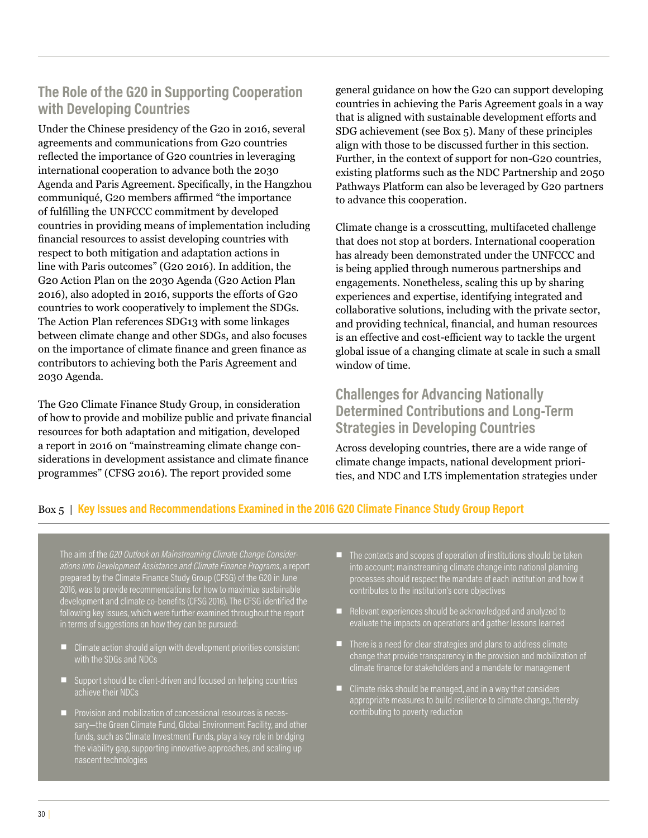### **The Role of the G20 in Supporting Cooperation with Developing Countries**

Under the Chinese presidency of the G20 in 2016, several agreements and communications from G20 countries reflected the importance of G20 countries in leveraging international cooperation to advance both the 2030 Agenda and Paris Agreement. Specifically, in the Hangzhou communiqué, G20 members affirmed "the importance of fulfilling the UNFCCC commitment by developed countries in providing means of implementation including financial resources to assist developing countries with respect to both mitigation and adaptation actions in line with Paris outcomes" (G20 2016). In addition, the G20 Action Plan on the 2030 Agenda (G20 Action Plan 2016), also adopted in 2016, supports the efforts of G20 countries to work cooperatively to implement the SDGs. The Action Plan references SDG13 with some linkages between climate change and other SDGs, and also focuses on the importance of climate finance and green finance as contributors to achieving both the Paris Agreement and 2030 Agenda.

The G20 Climate Finance Study Group, in consideration of how to provide and mobilize public and private financial resources for both adaptation and mitigation, developed a report in 2016 on "mainstreaming climate change considerations in development assistance and climate finance programmes" (CFSG 2016). The report provided some

general guidance on how the G20 can support developing countries in achieving the Paris Agreement goals in a way that is aligned with sustainable development efforts and SDG achievement (see Box 5). Many of these principles align with those to be discussed further in this section. Further, in the context of support for non-G20 countries, existing platforms such as the NDC Partnership and 2050 Pathways Platform can also be leveraged by G20 partners to advance this cooperation.

Climate change is a crosscutting, multifaceted challenge that does not stop at borders. International cooperation has already been demonstrated under the UNFCCC and is being applied through numerous partnerships and engagements. Nonetheless, scaling this up by sharing experiences and expertise, identifying integrated and collaborative solutions, including with the private sector, and providing technical, financial, and human resources is an effective and cost-efficient way to tackle the urgent global issue of a changing climate at scale in such a small window of time.

### **Challenges for Advancing Nationally Determined Contributions and Long-Term Strategies in Developing Countries**

Across developing countries, there are a wide range of climate change impacts, national development priorities, and NDC and LTS implementation strategies under

#### Box 5 | **Key Issues and Recommendations Examined in the 2016 G20 Climate Finance Study Group Report**

The aim of the *G20 Outlook on Mainstreaming Climate Change Considerations into Development Assistance and Climate Finance Programs*, a report prepared by the Climate Finance Study Group (CFSG) of the G20 in June 2016, was to provide recommendations for how to maximize sustainable development and climate co-benefits (CFSG 2016). The CFSG identified the following key issues, which were further examined throughout the report in terms of suggestions on how they can be pursued:

- **E** Climate action should align with development priorities consistent with the SDGs and NDCs
- Support should be client-driven and focused on helping countries achieve their NDCs
- Provision and mobilization of concessional resources is necessary—the Green Climate Fund, Global Environment Facility, and other funds, such as Climate Investment Funds, play a key role in bridging the viability gap, supporting innovative approaches, and scaling up nascent technologies
- $\blacksquare$  The contexts and scopes of operation of institutions should be taken into account; mainstreaming climate change into national planning processes should respect the mandate of each institution and how it contributes to the institution's core objectives
- Relevant experiences should be acknowledged and analyzed to evaluate the impacts on operations and gather lessons learned
- $\blacksquare$  There is a need for clear strategies and plans to address climate change that provide transparency in the provision and mobilization of climate finance for stakeholders and a mandate for management
- $\blacksquare$  Climate risks should be managed, and in a way that considers appropriate measures to build resilience to climate change, thereby contributing to poverty reduction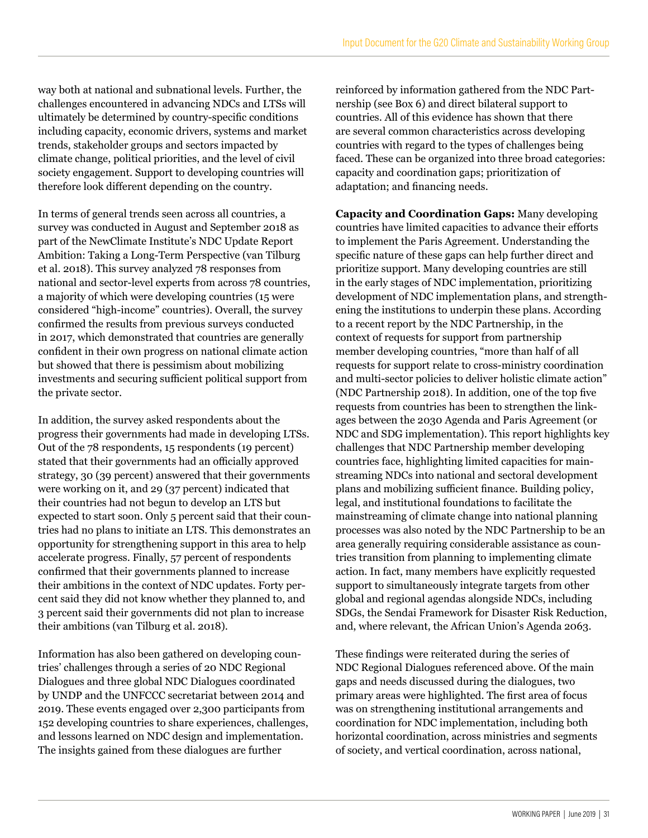way both at national and subnational levels. Further, the challenges encountered in advancing NDCs and LTSs will ultimately be determined by country-specific conditions including capacity, economic drivers, systems and market trends, stakeholder groups and sectors impacted by climate change, political priorities, and the level of civil society engagement. Support to developing countries will therefore look different depending on the country.

In terms of general trends seen across all countries, a survey was conducted in August and September 2018 as part of the NewClimate Institute's NDC Update Report Ambition: Taking a Long-Term Perspective (van Tilburg et al. 2018). This survey analyzed 78 responses from national and sector-level experts from across 78 countries, a majority of which were developing countries (15 were considered "high-income" countries). Overall, the survey confirmed the results from previous surveys conducted in 2017, which demonstrated that countries are generally confident in their own progress on national climate action but showed that there is pessimism about mobilizing investments and securing sufficient political support from the private sector.

In addition, the survey asked respondents about the progress their governments had made in developing LTSs. Out of the 78 respondents, 15 respondents (19 percent) stated that their governments had an officially approved strategy, 30 (39 percent) answered that their governments were working on it, and 29 (37 percent) indicated that their countries had not begun to develop an LTS but expected to start soon. Only 5 percent said that their countries had no plans to initiate an LTS. This demonstrates an opportunity for strengthening support in this area to help accelerate progress. Finally, 57 percent of respondents confirmed that their governments planned to increase their ambitions in the context of NDC updates. Forty percent said they did not know whether they planned to, and 3 percent said their governments did not plan to increase their ambitions (van Tilburg et al. 2018).

Information has also been gathered on developing countries' challenges through a series of 20 NDC Regional Dialogues and three global NDC Dialogues coordinated by UNDP and the UNFCCC secretariat between 2014 and 2019. These events engaged over 2,300 participants from 152 developing countries to share experiences, challenges, and lessons learned on NDC design and implementation. The insights gained from these dialogues are further

reinforced by information gathered from the NDC Partnership (see Box 6) and direct bilateral support to countries. All of this evidence has shown that there are several common characteristics across developing countries with regard to the types of challenges being faced. These can be organized into three broad categories: capacity and coordination gaps; prioritization of adaptation; and financing needs.

**Capacity and Coordination Gaps:** Many developing countries have limited capacities to advance their efforts to implement the Paris Agreement. Understanding the specific nature of these gaps can help further direct and prioritize support. Many developing countries are still in the early stages of NDC implementation, prioritizing development of NDC implementation plans, and strengthening the institutions to underpin these plans. According to a recent report by the NDC Partnership, in the context of requests for support from partnership member developing countries, "more than half of all requests for support relate to cross-ministry coordination and multi-sector policies to deliver holistic climate action" (NDC Partnership 2018). In addition, one of the top five requests from countries has been to strengthen the linkages between the 2030 Agenda and Paris Agreement (or NDC and SDG implementation). This report highlights key challenges that NDC Partnership member developing countries face, highlighting limited capacities for mainstreaming NDCs into national and sectoral development plans and mobilizing sufficient finance. Building policy, legal, and institutional foundations to facilitate the mainstreaming of climate change into national planning processes was also noted by the NDC Partnership to be an area generally requiring considerable assistance as countries transition from planning to implementing climate action. In fact, many members have explicitly requested support to simultaneously integrate targets from other global and regional agendas alongside NDCs, including SDGs, the Sendai Framework for Disaster Risk Reduction, and, where relevant, the African Union's Agenda 2063.

These findings were reiterated during the series of NDC Regional Dialogues referenced above. Of the main gaps and needs discussed during the dialogues, two primary areas were highlighted. The first area of focus was on strengthening institutional arrangements and coordination for NDC implementation, including both horizontal coordination, across ministries and segments of society, and vertical coordination, across national,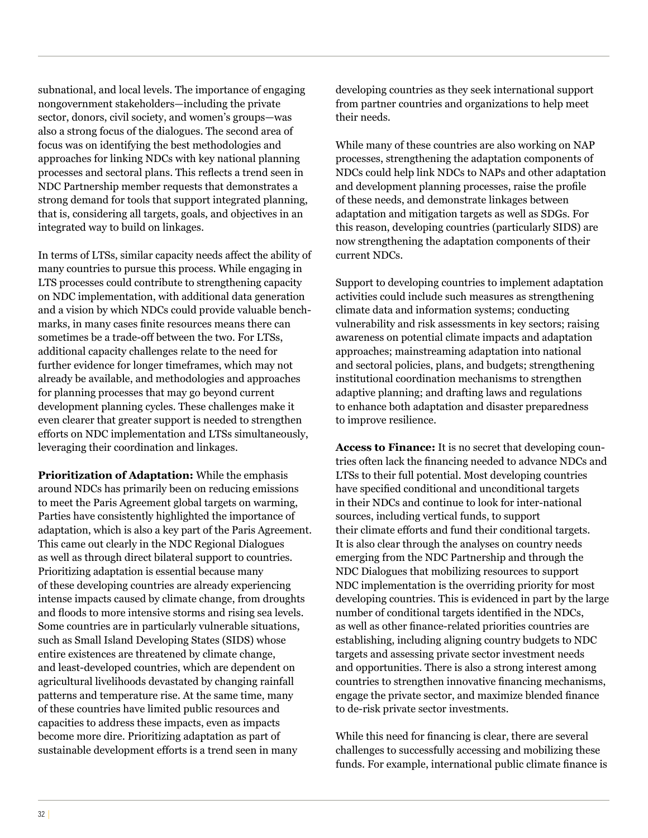subnational, and local levels. The importance of engaging nongovernment stakeholders—including the private sector, donors, civil society, and women's groups—was also a strong focus of the dialogues. The second area of focus was on identifying the best methodologies and approaches for linking NDCs with key national planning processes and sectoral plans. This reflects a trend seen in NDC Partnership member requests that demonstrates a strong demand for tools that support integrated planning, that is, considering all targets, goals, and objectives in an integrated way to build on linkages.

In terms of LTSs, similar capacity needs affect the ability of many countries to pursue this process. While engaging in LTS processes could contribute to strengthening capacity on NDC implementation, with additional data generation and a vision by which NDCs could provide valuable benchmarks, in many cases finite resources means there can sometimes be a trade-off between the two. For LTSs, additional capacity challenges relate to the need for further evidence for longer timeframes, which may not already be available, and methodologies and approaches for planning processes that may go beyond current development planning cycles. These challenges make it even clearer that greater support is needed to strengthen efforts on NDC implementation and LTSs simultaneously, leveraging their coordination and linkages.

**Prioritization of Adaptation:** While the emphasis around NDCs has primarily been on reducing emissions to meet the Paris Agreement global targets on warming, Parties have consistently highlighted the importance of adaptation, which is also a key part of the Paris Agreement. This came out clearly in the NDC Regional Dialogues as well as through direct bilateral support to countries. Prioritizing adaptation is essential because many of these developing countries are already experiencing intense impacts caused by climate change, from droughts and floods to more intensive storms and rising sea levels. Some countries are in particularly vulnerable situations, such as Small Island Developing States (SIDS) whose entire existences are threatened by climate change, and least-developed countries, which are dependent on agricultural livelihoods devastated by changing rainfall patterns and temperature rise. At the same time, many of these countries have limited public resources and capacities to address these impacts, even as impacts become more dire. Prioritizing adaptation as part of sustainable development efforts is a trend seen in many

developing countries as they seek international support from partner countries and organizations to help meet their needs.

While many of these countries are also working on NAP processes, strengthening the adaptation components of NDCs could help link NDCs to NAPs and other adaptation and development planning processes, raise the profile of these needs, and demonstrate linkages between adaptation and mitigation targets as well as SDGs. For this reason, developing countries (particularly SIDS) are now strengthening the adaptation components of their current NDCs.

Support to developing countries to implement adaptation activities could include such measures as strengthening climate data and information systems; conducting vulnerability and risk assessments in key sectors; raising awareness on potential climate impacts and adaptation approaches; mainstreaming adaptation into national and sectoral policies, plans, and budgets; strengthening institutional coordination mechanisms to strengthen adaptive planning; and drafting laws and regulations to enhance both adaptation and disaster preparedness to improve resilience.

**Access to Finance:** It is no secret that developing countries often lack the financing needed to advance NDCs and LTSs to their full potential. Most developing countries have specified conditional and unconditional targets in their NDCs and continue to look for inter-national sources, including vertical funds, to support their climate efforts and fund their conditional targets. It is also clear through the analyses on country needs emerging from the NDC Partnership and through the NDC Dialogues that mobilizing resources to support NDC implementation is the overriding priority for most developing countries. This is evidenced in part by the large number of conditional targets identified in the NDCs, as well as other finance-related priorities countries are establishing, including aligning country budgets to NDC targets and assessing private sector investment needs and opportunities. There is also a strong interest among countries to strengthen innovative financing mechanisms, engage the private sector, and maximize blended finance to de-risk private sector investments.

While this need for financing is clear, there are several challenges to successfully accessing and mobilizing these funds. For example, international public climate finance is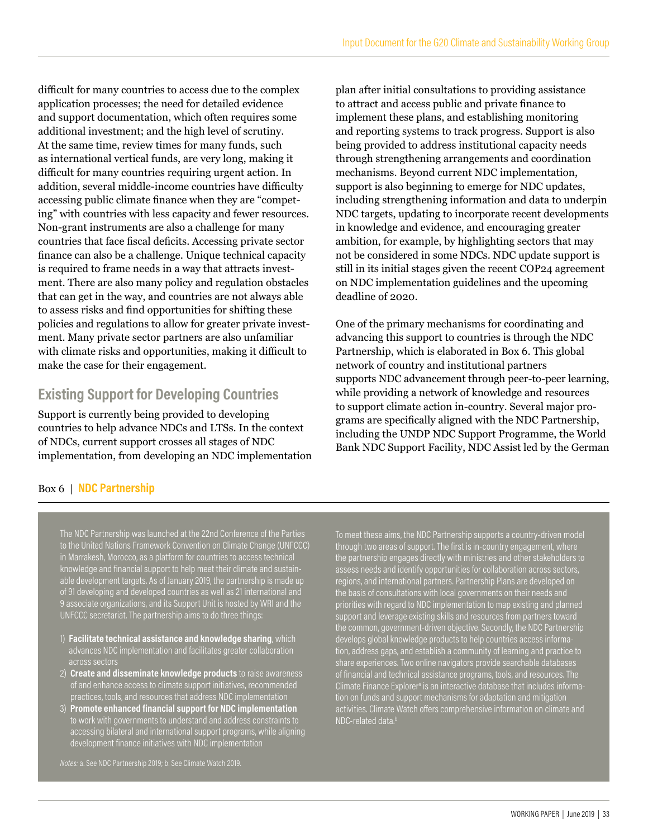difficult for many countries to access due to the complex application processes; the need for detailed evidence and support documentation, which often requires some additional investment; and the high level of scrutiny. At the same time, review times for many funds, such as international vertical funds, are very long, making it difficult for many countries requiring urgent action. In addition, several middle-income countries have difficulty accessing public climate finance when they are "competing" with countries with less capacity and fewer resources. Non-grant instruments are also a challenge for many countries that face fiscal deficits. Accessing private sector finance can also be a challenge. Unique technical capacity is required to frame needs in a way that attracts investment. There are also many policy and regulation obstacles that can get in the way, and countries are not always able to assess risks and find opportunities for shifting these policies and regulations to allow for greater private investment. Many private sector partners are also unfamiliar with climate risks and opportunities, making it difficult to make the case for their engagement.

### **Existing Support for Developing Countries**

Support is currently being provided to developing countries to help advance NDCs and LTSs. In the context of NDCs, current support crosses all stages of NDC implementation, from developing an NDC implementation

plan after initial consultations to providing assistance to attract and access public and private finance to implement these plans, and establishing monitoring and reporting systems to track progress. Support is also being provided to address institutional capacity needs through strengthening arrangements and coordination mechanisms. Beyond current NDC implementation, support is also beginning to emerge for NDC updates, including strengthening information and data to underpin NDC targets, updating to incorporate recent developments in knowledge and evidence, and encouraging greater ambition, for example, by highlighting sectors that may not be considered in some NDCs. NDC update support is still in its initial stages given the recent COP24 agreement on NDC implementation guidelines and the upcoming deadline of 2020.

One of the primary mechanisms for coordinating and advancing this support to countries is through the NDC Partnership, which is elaborated in Box 6. This global network of country and institutional partners supports NDC advancement through peer-to-peer learning, while providing a network of knowledge and resources to support climate action in-country. Several major programs are specifically aligned with the NDC Partnership, including the UNDP NDC Support Programme, the World Bank NDC Support Facility, NDC Assist led by the German

#### Box 6 | **NDC Partnership**

The NDC Partnership was launched at the 22nd Conference of the Parties to the United Nations Framework Convention on Climate Change (UNFCCC) in Marrakesh, Morocco, as a platform for countries to access technical knowledge and financial support to help meet their climate and sustainable development targets. As of January 2019, the partnership is made up of 91 developing and developed countries as well as 21 international and 9 associate organizations, and its Support Unit is hosted by WRI and the UNFCCC secretariat. The partnership aims to do three things:

- 1) **Facilitate technical assistance and knowledge sharing**, which advances NDC implementation and facilitates greater collaboration across sectors
- 2) **Create and disseminate knowledge products** to raise awareness of and enhance access to climate support initiatives, recommended practices, tools, and resources that address NDC implementation
- 3) **Promote enhanced financial support for NDC implementation** to work with governments to understand and address constraints to accessing bilateral and international support programs, while aligning development finance initiatives with NDC implementation

*Notes:* a. See NDC Partnership 2019; b. See Climate Watch 2019.

To meet these aims, the NDC Partnership supports a country-driven model through two areas of support. The first is in-country engagement, where the partnership engages directly with ministries and other stakeholders to assess needs and identify opportunities for collaboration across sectors, regions, and international partners. Partnership Plans are developed on the basis of consultations with local governments on their needs and priorities with regard to NDC implementation to map existing and planned support and leverage existing skills and resources from partners toward the common, government-driven objective. Secondly, the NDC Partnership develops global knowledge products to help countries access information, address gaps, and establish a community of learning and practice to share experiences. Two online navigators provide searchable databases of financial and technical assistance programs, tools, and resources. The Climate Finance Explorer<sup>a</sup> is an interactive database that includes information on funds and support mechanisms for adaptation and mitigation activities. Climate Watch offers comprehensive information on climate and NDC-related data.b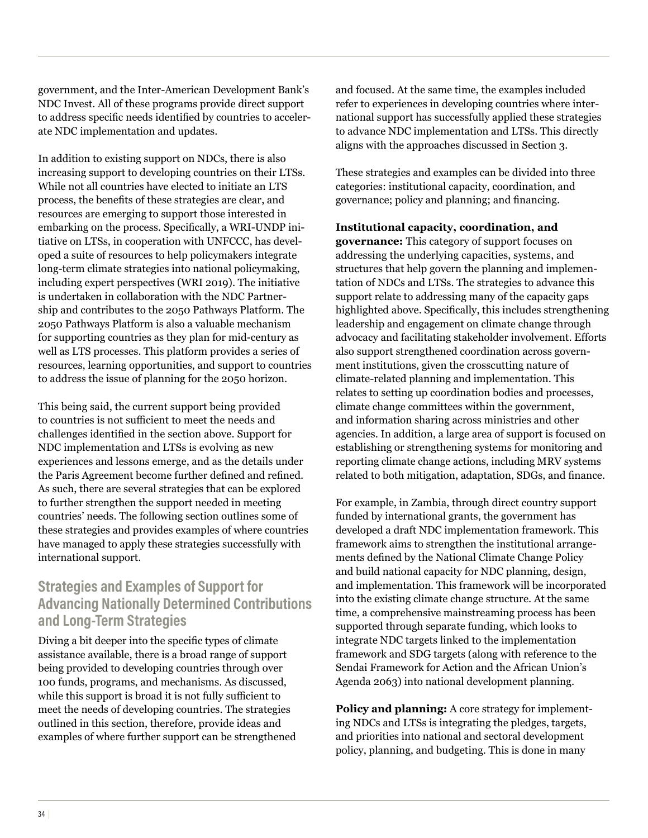government, and the Inter-American Development Bank's NDC Invest. All of these programs provide direct support to address specific needs identified by countries to accelerate NDC implementation and updates.

In addition to existing support on NDCs, there is also increasing support to developing countries on their LTSs. While not all countries have elected to initiate an LTS process, the benefits of these strategies are clear, and resources are emerging to support those interested in embarking on the process. Specifically, a WRI-UNDP initiative on LTSs, in cooperation with UNFCCC, has developed a suite of resources to help policymakers integrate long-term climate strategies into national policymaking, including expert perspectives (WRI 2019). The initiative is undertaken in collaboration with the NDC Partnership and contributes to the 2050 Pathways Platform. The 2050 Pathways Platform is also a valuable mechanism for supporting countries as they plan for mid-century as well as LTS processes. This platform provides a series of resources, learning opportunities, and support to countries to address the issue of planning for the 2050 horizon.

This being said, the current support being provided to countries is not sufficient to meet the needs and challenges identified in the section above. Support for NDC implementation and LTSs is evolving as new experiences and lessons emerge, and as the details under the Paris Agreement become further defined and refined. As such, there are several strategies that can be explored to further strengthen the support needed in meeting countries' needs. The following section outlines some of these strategies and provides examples of where countries have managed to apply these strategies successfully with international support.

### **Strategies and Examples of Support for Advancing Nationally Determined Contributions and Long-Term Strategies**

Diving a bit deeper into the specific types of climate assistance available, there is a broad range of support being provided to developing countries through over 100 funds, programs, and mechanisms. As discussed, while this support is broad it is not fully sufficient to meet the needs of developing countries. The strategies outlined in this section, therefore, provide ideas and examples of where further support can be strengthened and focused. At the same time, the examples included refer to experiences in developing countries where international support has successfully applied these strategies to advance NDC implementation and LTSs. This directly aligns with the approaches discussed in Section 3.

These strategies and examples can be divided into three categories: institutional capacity, coordination, and governance; policy and planning; and financing.

#### **Institutional capacity, coordination, and**

**governance:** This category of support focuses on addressing the underlying capacities, systems, and structures that help govern the planning and implementation of NDCs and LTSs. The strategies to advance this support relate to addressing many of the capacity gaps highlighted above. Specifically, this includes strengthening leadership and engagement on climate change through advocacy and facilitating stakeholder involvement. Efforts also support strengthened coordination across government institutions, given the crosscutting nature of climate-related planning and implementation. This relates to setting up coordination bodies and processes, climate change committees within the government, and information sharing across ministries and other agencies. In addition, a large area of support is focused on establishing or strengthening systems for monitoring and reporting climate change actions, including MRV systems related to both mitigation, adaptation, SDGs, and finance.

For example, in Zambia, through direct country support funded by international grants, the government has developed a draft NDC implementation framework. This framework aims to strengthen the institutional arrangements defined by the National Climate Change Policy and build national capacity for NDC planning, design, and implementation. This framework will be incorporated into the existing climate change structure. At the same time, a comprehensive mainstreaming process has been supported through separate funding, which looks to integrate NDC targets linked to the implementation framework and SDG targets (along with reference to the Sendai Framework for Action and the African Union's Agenda 2063) into national development planning.

**Policy and planning:** A core strategy for implementing NDCs and LTSs is integrating the pledges, targets, and priorities into national and sectoral development policy, planning, and budgeting. This is done in many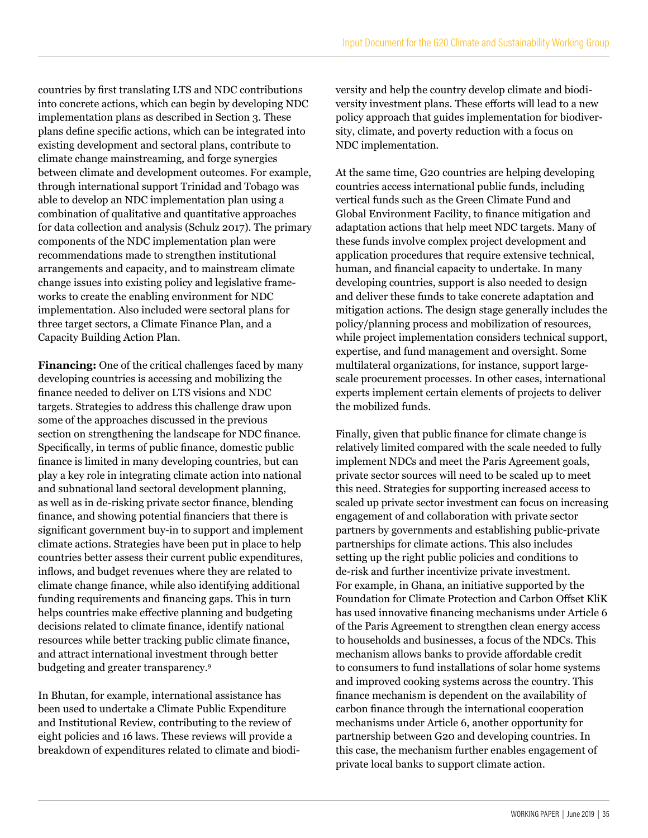countries by first translating LTS and NDC contributions into concrete actions, which can begin by developing NDC implementation plans as described in Section 3. These plans define specific actions, which can be integrated into existing development and sectoral plans, contribute to climate change mainstreaming, and forge synergies between climate and development outcomes. For example, through international support Trinidad and Tobago was able to develop an NDC implementation plan using a combination of qualitative and quantitative approaches for data collection and analysis (Schulz 2017). The primary components of the NDC implementation plan were recommendations made to strengthen institutional arrangements and capacity, and to mainstream climate change issues into existing policy and legislative frameworks to create the enabling environment for NDC implementation. Also included were sectoral plans for three target sectors, a Climate Finance Plan, and a Capacity Building Action Plan.

**Financing:** One of the critical challenges faced by many developing countries is accessing and mobilizing the finance needed to deliver on LTS visions and NDC targets. Strategies to address this challenge draw upon some of the approaches discussed in the previous section on strengthening the landscape for NDC finance. Specifically, in terms of public finance, domestic public finance is limited in many developing countries, but can play a key role in integrating climate action into national and subnational land sectoral development planning, as well as in de-risking private sector finance, blending finance, and showing potential financiers that there is significant government buy-in to support and implement climate actions. Strategies have been put in place to help countries better assess their current public expenditures, inflows, and budget revenues where they are related to climate change finance, while also identifying additional funding requirements and financing gaps. This in turn helps countries make effective planning and budgeting decisions related to climate finance, identify national resources while better tracking public climate finance, and attract international investment through better budgeting and greater transparency.9

In Bhutan, for example, international assistance has been used to undertake a Climate Public Expenditure and Institutional Review, contributing to the review of eight policies and 16 laws. These reviews will provide a breakdown of expenditures related to climate and biodiversity and help the country develop climate and biodiversity investment plans. These efforts will lead to a new policy approach that guides implementation for biodiversity, climate, and poverty reduction with a focus on NDC implementation.

At the same time, G20 countries are helping developing countries access international public funds, including vertical funds such as the Green Climate Fund and Global Environment Facility, to finance mitigation and adaptation actions that help meet NDC targets. Many of these funds involve complex project development and application procedures that require extensive technical, human, and financial capacity to undertake. In many developing countries, support is also needed to design and deliver these funds to take concrete adaptation and mitigation actions. The design stage generally includes the policy/planning process and mobilization of resources, while project implementation considers technical support, expertise, and fund management and oversight. Some multilateral organizations, for instance, support largescale procurement processes. In other cases, international experts implement certain elements of projects to deliver the mobilized funds.

Finally, given that public finance for climate change is relatively limited compared with the scale needed to fully implement NDCs and meet the Paris Agreement goals, private sector sources will need to be scaled up to meet this need. Strategies for supporting increased access to scaled up private sector investment can focus on increasing engagement of and collaboration with private sector partners by governments and establishing public-private partnerships for climate actions. This also includes setting up the right public policies and conditions to de-risk and further incentivize private investment. For example, in Ghana, an initiative supported by the Foundation for Climate Protection and Carbon Offset KliK has used innovative financing mechanisms under Article 6 of the Paris Agreement to strengthen clean energy access to households and businesses, a focus of the NDCs. This mechanism allows banks to provide affordable credit to consumers to fund installations of solar home systems and improved cooking systems across the country. This finance mechanism is dependent on the availability of carbon finance through the international cooperation mechanisms under Article 6, another opportunity for partnership between G20 and developing countries. In this case, the mechanism further enables engagement of private local banks to support climate action.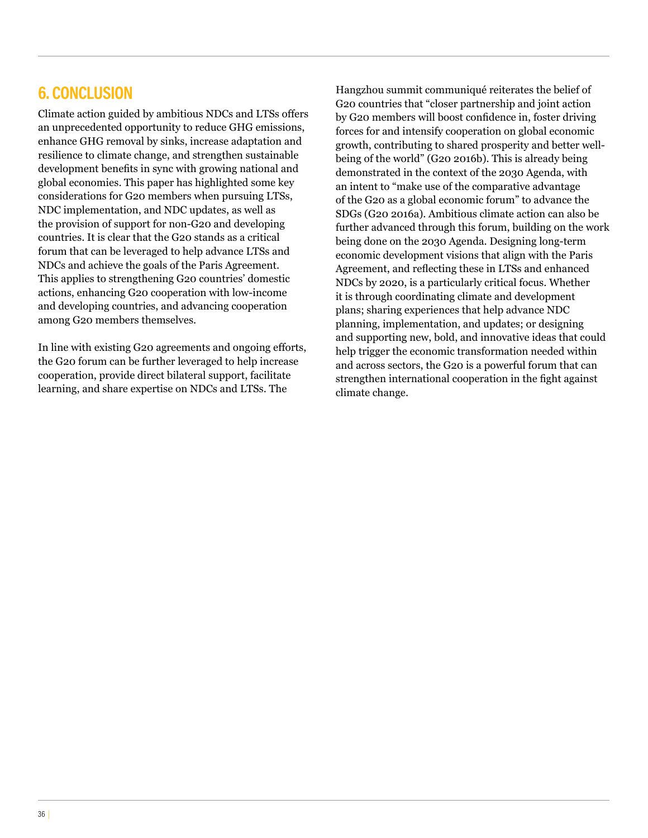# **6. CONCLUSION**

Climate action guided by ambitious NDCs and LTSs offers an unprecedented opportunity to reduce GHG emissions, enhance GHG removal by sinks, increase adaptation and resilience to climate change, and strengthen sustainable development benefits in sync with growing national and global economies. This paper has highlighted some key considerations for G20 members when pursuing LTSs, NDC implementation, and NDC updates, as well as the provision of support for non-G20 and developing countries. It is clear that the G20 stands as a critical forum that can be leveraged to help advance LTSs and NDCs and achieve the goals of the Paris Agreement. This applies to strengthening G20 countries' domestic actions, enhancing G20 cooperation with low-income and developing countries, and advancing cooperation among G20 members themselves.

In line with existing G20 agreements and ongoing efforts, the G20 forum can be further leveraged to help increase cooperation, provide direct bilateral support, facilitate learning, and share expertise on NDCs and LTSs. The

Hangzhou summit communiqué reiterates the belief of G20 countries that "closer partnership and joint action by G20 members will boost confidence in, foster driving forces for and intensify cooperation on global economic growth, contributing to shared prosperity and better wellbeing of the world" (G20 2016b). This is already being demonstrated in the context of the 2030 Agenda, with an intent to "make use of the comparative advantage of the G20 as a global economic forum" to advance the SDGs (G20 2016a). Ambitious climate action can also be further advanced through this forum, building on the work being done on the 2030 Agenda. Designing long-term economic development visions that align with the Paris Agreement, and reflecting these in LTSs and enhanced NDCs by 2020, is a particularly critical focus. Whether it is through coordinating climate and development plans; sharing experiences that help advance NDC planning, implementation, and updates; or designing and supporting new, bold, and innovative ideas that could help trigger the economic transformation needed within and across sectors, the G20 is a powerful forum that can strengthen international cooperation in the fight against climate change.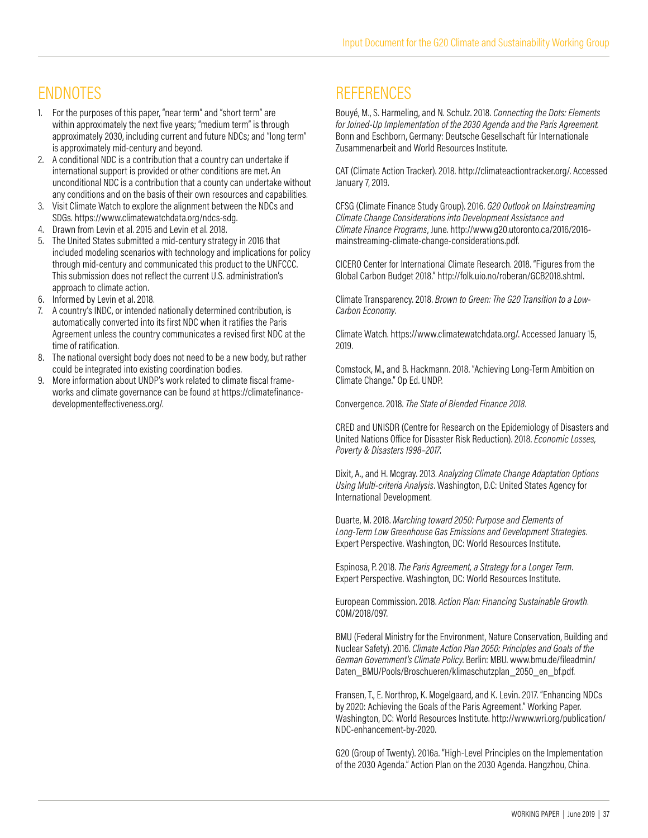# ENDNOTES

- 1. For the purposes of this paper, "near term" and "short term" are within approximately the next five years; "medium term" is through approximately 2030, including current and future NDCs; and "long term" is approximately mid-century and beyond.
- 2. A conditional NDC is a contribution that a country can undertake if international support is provided or other conditions are met. An unconditional NDC is a contribution that a county can undertake without any conditions and on the basis of their own resources and capabilities.
- 3. Visit Climate Watch to explore the alignment between the NDCs and SDGs. https://www.climatewatchdata.org/ndcs-sdg.
- 4. Drawn from Levin et al. 2015 and Levin et al. 2018.
- 5. The United States submitted a mid-century strategy in 2016 that included modeling scenarios with technology and implications for policy through mid-century and communicated this product to the UNFCCC. This submission does not reflect the current U.S. administration's approach to climate action.
- 6. Informed by Levin et al. 2018.
- 7. A country's INDC, or intended nationally determined contribution, is automatically converted into its first NDC when it ratifies the Paris Agreement unless the country communicates a revised first NDC at the time of ratification.
- 8. The national oversight body does not need to be a new body, but rather could be integrated into existing coordination bodies.
- 9. More information about UNDP's work related to climate fiscal frameworks and climate governance can be found at https://climatefinancedevelopmenteffectiveness.org/.

# **REFERENCES**

Bouyé, M., S. Harmeling, and N. Schulz. 2018. *Connecting the Dots: Elements for Joined-Up Implementation of the 2030 Agenda and the Paris Agreement.* Bonn and Eschborn, Germany: Deutsche Gesellschaft für Internationale Zusammenarbeit and World Resources Institute.

CAT (Climate Action Tracker). 2018. http://climateactiontracker.org/. Accessed January 7, 2019.

CFSG (Climate Finance Study Group). 2016. *G20 Outlook on Mainstreaming Climate Change Considerations into Development Assistance and Climate Finance Programs*, June. http://www.g20.utoronto.ca/2016/2016 mainstreaming-climate-change-considerations.pdf.

CICERO Center for International Climate Research. 2018. "Figures from the Global Carbon Budget 2018." http://folk.uio.no/roberan/GCB2018.shtml.

Climate Transparency. 2018. *Brown to Green: The G20 Transition to a Low-Carbon Economy*.

Climate Watch. https://www.climatewatchdata.org/. Accessed January 15, 2019.

Comstock, M., and B. Hackmann. 2018. "Achieving Long-Term Ambition on Climate Change." Op Ed. UNDP.

Convergence. 2018. *The State of Blended Finance 2018*.

CRED and UNISDR (Centre for Research on the Epidemiology of Disasters and United Nations Office for Disaster Risk Reduction). 2018. *Economic Losses, Poverty & Disasters 1998–2017*.

Dixit, A., and H. Mcgray. 2013. *Analyzing Climate Change Adaptation Options Using Multi-criteria Analysis*. Washington, D.C: United States Agency for International Development.

Duarte, M. 2018. *Marching toward 2050: Purpose and Elements of Long-Term Low Greenhouse Gas Emissions and Development Strategies*. Expert Perspective. Washington, DC: World Resources Institute.

Espinosa, P. 2018. *The Paris Agreement, a Strategy for a Longer Term*. Expert Perspective. Washington, DC: World Resources Institute.

European Commission. 2018. *Action Plan: Financing Sustainable Growth*. COM/2018/097.

BMU (Federal Ministry for the Environment, Nature Conservation, Building and Nuclear Safety). 2016. *Climate Action Plan 2050: Principles and Goals of the German Government's Climate Policy*. Berlin: MBU. www.bmu.de/fileadmin/ Daten\_BMU/Pools/Broschueren/klimaschutzplan\_2050\_en\_bf.pdf.

Fransen, T., E. Northrop, K. Mogelgaard, and K. Levin. 2017. "Enhancing NDCs by 2020: Achieving the Goals of the Paris Agreement." Working Paper. Washington, DC: World Resources Institute. http://www.wri.org/publication/ NDC-enhancement-by-2020.

G20 (Group of Twenty). 2016a. "High-Level Principles on the Implementation of the 2030 Agenda." Action Plan on the 2030 Agenda. Hangzhou, China.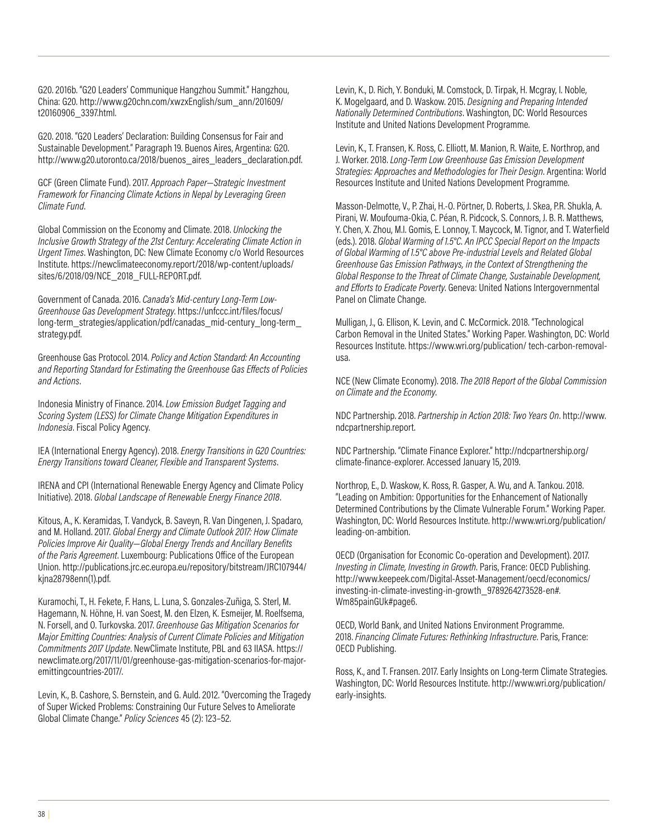G20. 2016b. "G20 Leaders' Communique Hangzhou Summit." Hangzhou, China: G20. http://www.g20chn.com/xwzxEnglish/sum\_ann/201609/ t20160906\_3397.html.

G20. 2018. "G20 Leaders' Declaration: Building Consensus for Fair and Sustainable Development." Paragraph 19. Buenos Aires, Argentina: G20. http://www.g20.utoronto.ca/2018/buenos\_aires\_leaders\_declaration.pdf.

GCF (Green Climate Fund). 2017. *Approach Paper—Strategic Investment Framework for Financing Climate Actions in Nepal by Leveraging Green Climate Fund*.

Global Commission on the Economy and Climate. 2018. *Unlocking the Inclusive Growth Strategy of the 21st Century: Accelerating Climate Action in Urgent Times*. Washington, DC: New Climate Economy c/o World Resources Institute. https://newclimateeconomy.report/2018/wp-content/uploads/ sites/6/2018/09/NCE\_2018\_FULL-REPORT.pdf.

Government of Canada. 2016. *Canada's Mid-century Long-Term Low-Greenhouse Gas Development Strategy*. https://unfccc.int/files/focus/ long-term\_strategies/application/pdf/canadas\_mid-century\_long-term strategy.pdf.

Greenhouse Gas Protocol. 2014. *Policy and Action Standard: An Accounting and Reporting Standard for Estimating the Greenhouse Gas Effects of Policies and Actions*.

Indonesia Ministry of Finance. 2014. *Low Emission Budget Tagging and Scoring System (LESS) for Climate Change Mitigation Expenditures in Indonesia*. Fiscal Policy Agency.

IEA (International Energy Agency). 2018. *Energy Transitions in G20 Countries: Energy Transitions toward Cleaner, Flexible and Transparent Systems*.

IRENA and CPI (International Renewable Energy Agency and Climate Policy Initiative). 2018. *Global Landscape of Renewable Energy Finance 2018*.

Kitous, A., K. Keramidas, T. Vandyck, B. Saveyn, R. Van Dingenen, J. Spadaro, and M. Holland. 2017. *Global Energy and Climate Outlook 2017: How Climate Policies Improve Air Quality—Global Energy Trends and Ancillary Benefits of the Paris Agreement*. Luxembourg: Publications Office of the European Union. http://publications.jrc.ec.europa.eu/repository/bitstream/JRC107944/ kjna28798enn(1).pdf.

Kuramochi, T., H. Fekete, F. Hans, L. Luna, S. Gonzales-Zuñiga, S. Sterl, M. Hagemann, N. Höhne, H. van Soest, M. den Elzen, K. Esmeijer, M. Roelfsema, N. Forsell, and O. Turkovska. 2017. *Greenhouse Gas Mitigation Scenarios for Major Emitting Countries: Analysis of Current Climate Policies and Mitigation Commitments 2017 Update*. NewClimate Institute, PBL and 63 IIASA. https:// newclimate.org/2017/11/01/greenhouse-gas-mitigation-scenarios-for-majoremittingcountries-2017/.

Levin, K., B. Cashore, S. Bernstein, and G. Auld. 2012. "Overcoming the Tragedy of Super Wicked Problems: Constraining Our Future Selves to Ameliorate Global Climate Change." *Policy Sciences* 45 (2): 123–52.

Levin, K., D. Rich, Y. Bonduki, M. Comstock, D. Tirpak, H. Mcgray, I. Noble, K. Mogelgaard, and D. Waskow. 2015. *Designing and Preparing Intended Nationally Determined Contributions*. Washington, DC: World Resources Institute and United Nations Development Programme.

Levin, K., T. Fransen, K. Ross, C. Elliott, M. Manion, R. Waite, E. Northrop, and J. Worker. 2018. *Long-Term Low Greenhouse Gas Emission Development Strategies: Approaches and Methodologies for Their Design*. Argentina: World Resources Institute and United Nations Development Programme.

Masson-Delmotte, V., P. Zhai, H.-O. Pörtner, D. Roberts, J. Skea, P.R. Shukla, A. Pirani, W. Moufouma-Okia, C. Péan, R. Pidcock, S. Connors, J. B. R. Matthews, Y. Chen, X. Zhou, M.I. Gomis, E. Lonnoy, T. Maycock, M. Tignor, and T. Waterfield (eds.). 2018. *Global Warming of 1.5°C. An IPCC Special Report on the Impacts of Global Warming of 1.5°C above Pre-industrial Levels and Related Global Greenhouse Gas Emission Pathways, in the Context of Strengthening the Global Response to the Threat of Climate Change, Sustainable Development, and Efforts to Eradicate Poverty*. Geneva: United Nations Intergovernmental Panel on Climate Change.

Mulligan, J., G. Ellison, K. Levin, and C. McCormick. 2018. "Technological Carbon Removal in the United States." Working Paper. Washington, DC: World Resources Institute. https://www.wri.org/publication/ tech-carbon-removalusa.

NCE (New Climate Economy). 2018. *The 2018 Report of the Global Commission on Climate and the Economy*.

NDC Partnership. 2018. *Partnership in Action 2018: Two Years On*. http://www. ndcpartnership.report.

NDC Partnership. "Climate Finance Explorer." http://ndcpartnership.org/ climate-finance-explorer. Accessed January 15, 2019.

Northrop, E., D. Waskow, K. Ross, R. Gasper, A. Wu, and A. Tankou. 2018. "Leading on Ambition: Opportunities for the Enhancement of Nationally Determined Contributions by the Climate Vulnerable Forum." Working Paper. Washington, DC: World Resources Institute. http://www.wri.org/publication/ leading-on-ambition.

OECD (Organisation for Economic Co-operation and Development). 2017. *Investing in Climate, Investing in Growth*. Paris, France: OECD Publishing. http://www.keepeek.com/Digital-Asset-Management/oecd/economics/ investing-in-climate-investing-in-growth\_9789264273528-en#. Wm85painGUk#page6.

OECD, World Bank, and United Nations Environment Programme. 2018. *Financing Climate Futures: Rethinking Infrastructure*. Paris, France: OECD Publishing.

Ross, K., and T. Fransen. 2017. Early Insights on Long-term Climate Strategies. Washington, DC: World Resources Institute. http://www.wri.org/publication/ early-insights.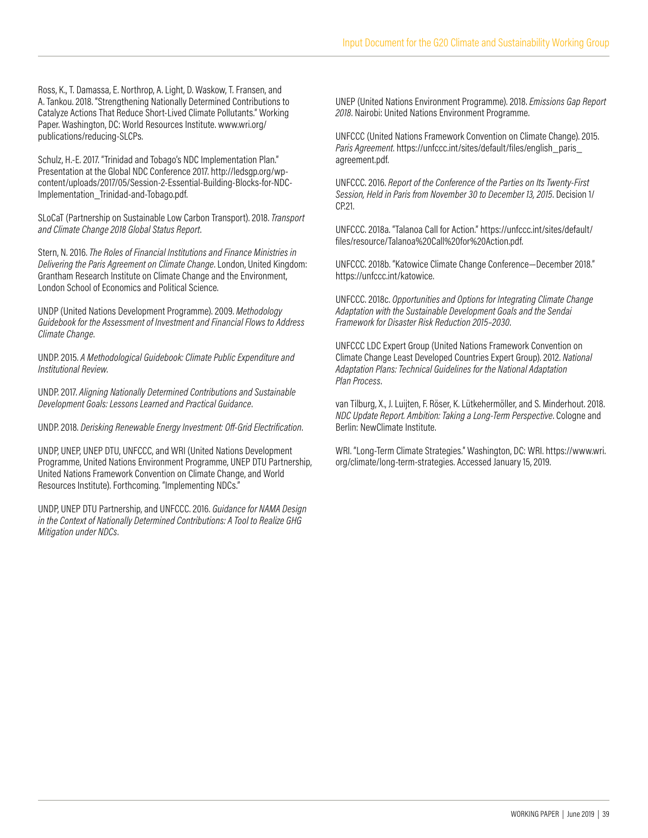Ross, K., T. Damassa, E. Northrop, A. Light, D. Waskow, T. Fransen, and A. Tankou. 2018. "Strengthening Nationally Determined Contributions to Catalyze Actions That Reduce Short-Lived Climate Pollutants." Working Paper. Washington, DC: World Resources Institute. www.wri.org/ publications/reducing-SLCPs.

Schulz, H.-E. 2017. "Trinidad and Tobago's NDC Implementation Plan." Presentation at the Global NDC Conference 2017. http://ledsgp.org/wpcontent/uploads/2017/05/Session-2-Essential-Building-Blocks-for-NDC-Implementation\_Trinidad-and-Tobago.pdf.

SLoCaT (Partnership on Sustainable Low Carbon Transport). 2018. *Transport and Climate Change 2018 Global Status Report*.

Stern, N. 2016. *The Roles of Financial Institutions and Finance Ministries in Delivering the Paris Agreement on Climate Change*. London, United Kingdom: Grantham Research Institute on Climate Change and the Environment, London School of Economics and Political Science.

UNDP (United Nations Development Programme). 2009. *Methodology Guidebook for the Assessment of Investment and Financial Flows to Address Climate Change*.

UNDP. 2015. *A Methodological Guidebook: Climate Public Expenditure and Institutional Review*.

UNDP. 2017. *Aligning Nationally Determined Contributions and Sustainable Development Goals: Lessons Learned and Practical Guidance*.

UNDP. 2018. *Derisking Renewable Energy Investment: Off-Grid Electrification*.

UNDP, UNEP, UNEP DTU, UNFCCC, and WRI (United Nations Development Programme, United Nations Environment Programme, UNEP DTU Partnership, United Nations Framework Convention on Climate Change, and World Resources Institute). Forthcoming. "Implementing NDCs."

UNDP, UNEP DTU Partnership, and UNFCCC. 2016. *Guidance for NAMA Design in the Context of Nationally Determined Contributions: A Tool to Realize GHG Mitigation under NDCs*.

UNEP (United Nations Environment Programme). 2018. *Emissions Gap Report 2018*. Nairobi: United Nations Environment Programme.

UNFCCC (United Nations Framework Convention on Climate Change). 2015. *Paris Agreement*. https://unfccc.int/sites/default/files/english\_paris\_ agreement.pdf.

UNFCCC. 2016. *Report of the Conference of the Parties on Its Twenty-First Session, Held in Paris from November 30 to December 13, 2015*. Decision 1/ CP.21.

UNFCCC. 2018a. "Talanoa Call for Action." https://unfccc.int/sites/default/ files/resource/Talanoa%20Call%20for%20Action.pdf.

UNFCCC. 2018b. "Katowice Climate Change Conference—December 2018." https://unfccc.int/katowice.

UNFCCC. 2018c. *Opportunities and Options for Integrating Climate Change Adaptation with the Sustainable Development Goals and the Sendai Framework for Disaster Risk Reduction 2015–2030*.

UNFCCC LDC Expert Group (United Nations Framework Convention on Climate Change Least Developed Countries Expert Group). 2012. *National Adaptation Plans: Technical Guidelines for the National Adaptation Plan Process*.

van Tilburg, X., J. Luijten, F. Röser, K. Lütkehermöller, and S. Minderhout. 2018. *NDC Update Report. Ambition: Taking a Long-Term Perspective*. Cologne and Berlin: NewClimate Institute.

WRI. "Long-Term Climate Strategies." Washington, DC: WRI. https://www.wri. org/climate/long-term-strategies. Accessed January 15, 2019.